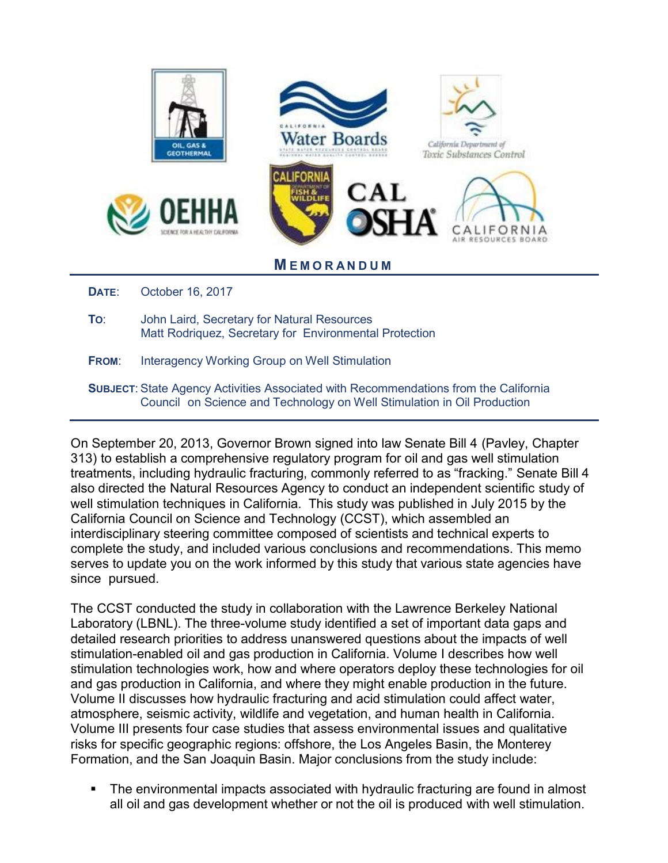

- **TO**: John Laird, Secretary for Natural Resources Matt Rodriquez, Secretary for Environmental Protection
- **FROM:** Interagency Working Group on Well Stimulation
- **SUBJECT**: State Agency Activities Associated with Recommendations from the California Council on Science and Technology on Well Stimulation in Oil Production

On September 20, 2013, Governor Brown signed into law Senate Bill 4 (Pavley, Chapter 313) to establish a comprehensive regulatory program for oil and gas well stimulation treatments, including hydraulic fracturing, commonly referred to as "fracking." Senate Bill 4 also directed the Natural Resources Agency to conduct an independent scientific study of well stimulation techniques in California. This study was published in July 2015 by the California Council on Science and Technology (CCST), which assembled an interdisciplinary steering committee composed of scientists and technical experts to complete the study, and included various conclusions and recommendations. This memo serves to update you on the work informed by this study that various state agencies have since pursued.

The CCST conducted the study in collaboration with the Lawrence Berkeley National Laboratory (LBNL). The three-volume study identified a set of important data gaps and detailed research priorities to address unanswered questions about the impacts of well stimulation-enabled oil and gas production in California. Volume I describes how well stimulation technologies work, how and where operators deploy these technologies for oil and gas production in California, and where they might enable production in the future. Volume II discusses how hydraulic fracturing and acid stimulation could affect water, atmosphere, seismic activity, wildlife and vegetation, and human health in California. Volume III presents four case studies that assess environmental issues and qualitative risks for specific geographic regions: offshore, the Los Angeles Basin, the Monterey Formation, and the San Joaquin Basin. Major conclusions from the study include:

 The environmental impacts associated with hydraulic fracturing are found in almost all oil and gas development whether or not the oil is produced with well stimulation.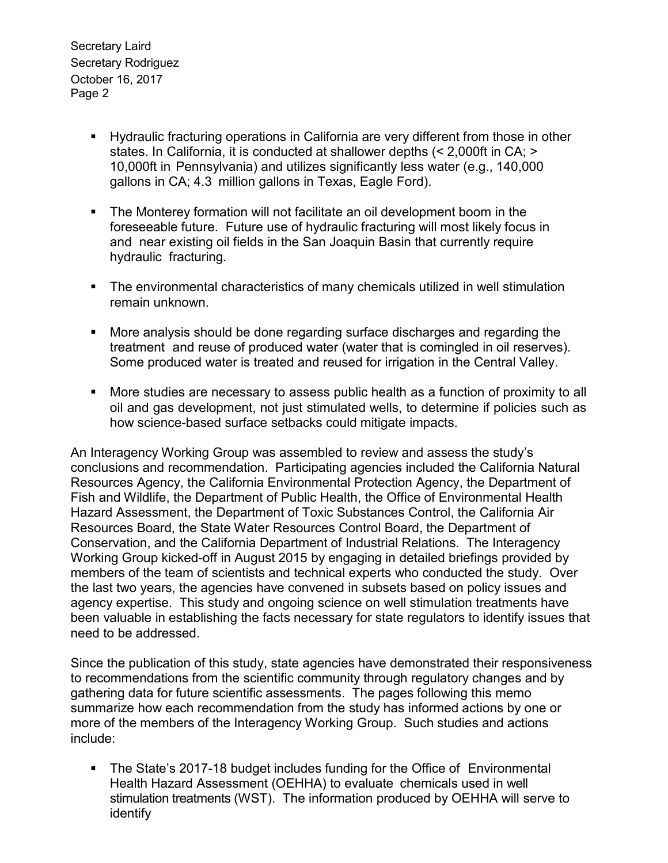Secretary Laird Secretary Rodriguez October 16, 2017 Page 2

- Hydraulic fracturing operations in California are very different from those in other states. In California, it is conducted at shallower depths (< 2,000ft in CA; > 10,000ft in Pennsylvania) and utilizes significantly less water (e.g., 140,000 gallons in CA; 4.3 million gallons in Texas, Eagle Ford).
- The Monterey formation will not facilitate an oil development boom in the foreseeable future. Future use of hydraulic fracturing will most likely focus in and near existing oil fields in the San Joaquin Basin that currently require hydraulic fracturing.
- The environmental characteristics of many chemicals utilized in well stimulation remain unknown.
- More analysis should be done regarding surface discharges and regarding the treatment and reuse of produced water (water that is comingled in oil reserves). Some produced water is treated and reused for irrigation in the Central Valley.
- More studies are necessary to assess public health as a function of proximity to all oil and gas development, not just stimulated wells, to determine if policies such as how science-based surface setbacks could mitigate impacts.

An Interagency Working Group was assembled to review and assess the study's conclusions and recommendation. Participating agencies included the California Natural Resources Agency, the California Environmental Protection Agency, the Department of Fish and Wildlife, the Department of Public Health, the Office of Environmental Health Hazard Assessment, the Department of Toxic Substances Control, the California Air Resources Board, the State Water Resources Control Board, the Department of Conservation, and the California Department of Industrial Relations. The Interagency Working Group kicked-off in August 2015 by engaging in detailed briefings provided by members of the team of scientists and technical experts who conducted the study. Over the last two years, the agencies have convened in subsets based on policy issues and agency expertise. This study and ongoing science on well stimulation treatments have been valuable in establishing the facts necessary for state regulators to identify issues that need to be addressed.

Since the publication of this study, state agencies have demonstrated their responsiveness to recommendations from the scientific community through regulatory changes and by gathering data for future scientific assessments. The pages following this memo summarize how each recommendation from the study has informed actions by one or more of the members of the Interagency Working Group. Such studies and actions include:

• The State's 2017-18 budget includes funding for the Office of Environmental Health Hazard Assessment (OEHHA) to evaluate chemicals used in well stimulation treatments (WST). The information produced by OEHHA will serve to identify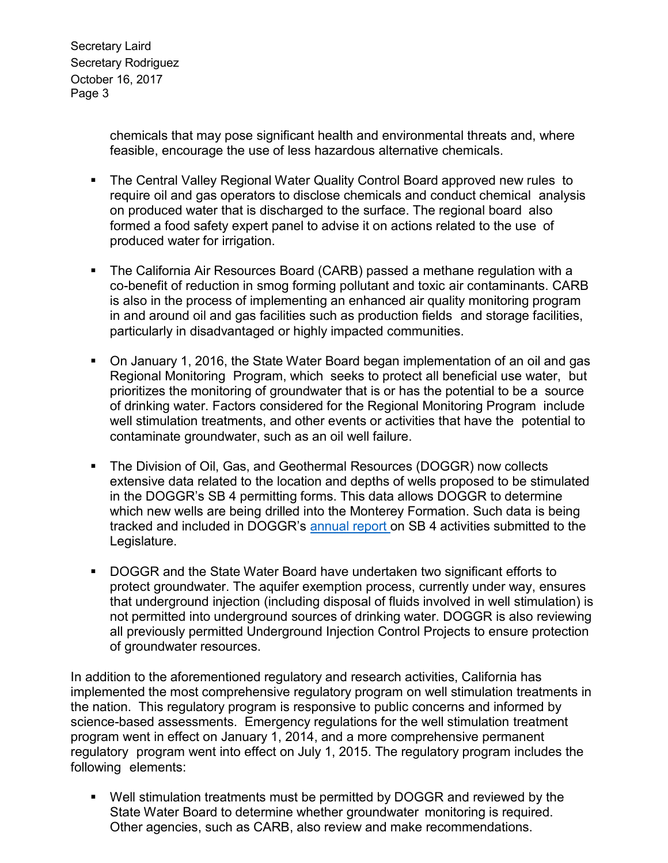Secretary Laird Secretary Rodriguez October 16, 2017 Page 3

> chemicals that may pose significant health and environmental threats and, where feasible, encourage the use of less hazardous alternative chemicals.

- The Central Valley Regional Water Quality Control Board approved new rules to require oil and gas operators to disclose chemicals and conduct chemical analysis on produced water that is discharged to the surface. The regional board also formed a food safety expert panel to advise it on actions related to the use of produced water for irrigation.
- The California Air Resources Board (CARB) passed a methane regulation with a co-benefit of reduction in smog forming pollutant and toxic air contaminants. CARB is also in the process of implementing an enhanced air quality monitoring program in and around oil and gas facilities such as production fields and storage facilities, particularly in disadvantaged or highly impacted communities.
- On January 1, 2016, the State Water Board began implementation of an oil and gas Regional Monitoring Program, which seeks to protect all beneficial use water, but prioritizes the monitoring of groundwater that is or has the potential to be a source of drinking water. Factors considered for the Regional Monitoring Program include well stimulation treatments, and other events or activities that have the potential to contaminate groundwater, such as an oil well failure.
- The Division of Oil, Gas, and Geothermal Resources (DOGGR) now collects extensive data related to the location and depths of wells proposed to be stimulated in the DOGGR's SB 4 permitting forms. This data allows DOGGR to determine which new wells are being drilled into the Monterey Formation. Such data is being tracked and included in DOGGR's [annual report](ftp://ftp.consrv.ca.gov/pub/oil/WST_Annual_Reports/WST_2016_Report.pdf) on SB 4 activities submitted to the Legislature.
- DOGGR and the State Water Board have undertaken two significant efforts to protect groundwater. The aquifer exemption process, currently under way, ensures that underground injection (including disposal of fluids involved in well stimulation) is not permitted into underground sources of drinking water. DOGGR is also reviewing all previously permitted Underground Injection Control Projects to ensure protection of groundwater resources.

In addition to the aforementioned regulatory and research activities, California has implemented the most comprehensive regulatory program on well stimulation treatments in the nation. This regulatory program is responsive to public concerns and informed by science-based assessments. Emergency regulations for the well stimulation treatment program went in effect on January 1, 2014, and a more comprehensive permanent regulatory program went into effect on July 1, 2015. The regulatory program includes the following elements:

 Well stimulation treatments must be permitted by DOGGR and reviewed by the State Water Board to determine whether groundwater monitoring is required. Other agencies, such as CARB, also review and make recommendations.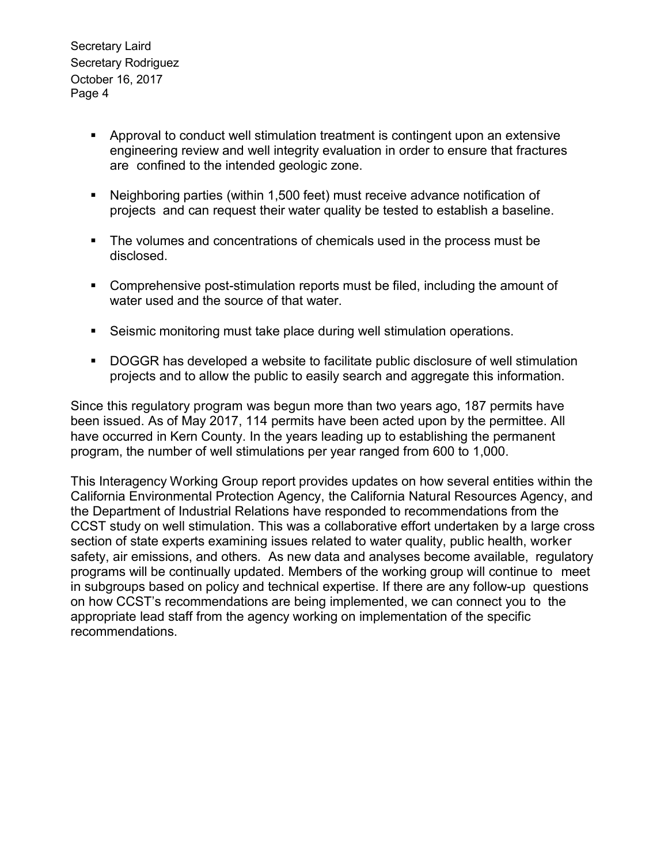Secretary Laird Secretary Rodriguez October 16, 2017 Page 4

- Approval to conduct well stimulation treatment is contingent upon an extensive engineering review and well integrity evaluation in order to ensure that fractures are confined to the intended geologic zone.
- Neighboring parties (within 1,500 feet) must receive advance notification of projects and can request their water quality be tested to establish a baseline.
- The volumes and concentrations of chemicals used in the process must be disclosed.
- Comprehensive post-stimulation reports must be filed, including the amount of water used and the source of that water.
- Seismic monitoring must take place during well stimulation operations.
- DOGGR has developed a website to facilitate public disclosure of well stimulation projects and to allow the public to easily search and aggregate this information.

Since this regulatory program was begun more than two years ago, 187 permits have been issued. As of May 2017, 114 permits have been acted upon by the permittee. All have occurred in Kern County. In the years leading up to establishing the permanent program, the number of well stimulations per year ranged from 600 to 1,000.

This Interagency Working Group report provides updates on how several entities within the California Environmental Protection Agency, the California Natural Resources Agency, and the Department of Industrial Relations have responded to recommendations from the CCST study on well stimulation. This was a collaborative effort undertaken by a large cross section of state experts examining issues related to water quality, public health, worker safety, air emissions, and others. As new data and analyses become available, regulatory programs will be continually updated. Members of the working group will continue to meet in subgroups based on policy and technical expertise. If there are any follow-up questions on how CCST's recommendations are being implemented, we can connect you to the appropriate lead staff from the agency working on implementation of the specific recommendations.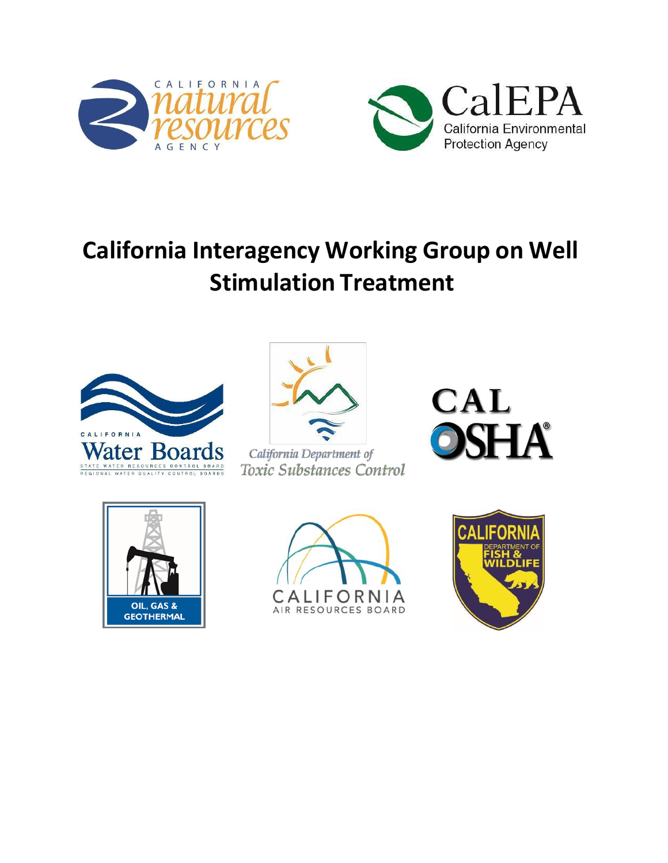![](_page_4_Picture_0.jpeg)

![](_page_4_Picture_1.jpeg)

# **California Interagency Working Group on Well Stimulation Treatment**

![](_page_4_Picture_3.jpeg)

![](_page_4_Picture_4.jpeg)

California Department of Toxic Substances Control

![](_page_4_Picture_6.jpeg)

![](_page_4_Picture_7.jpeg)

![](_page_4_Picture_8.jpeg)

![](_page_4_Picture_9.jpeg)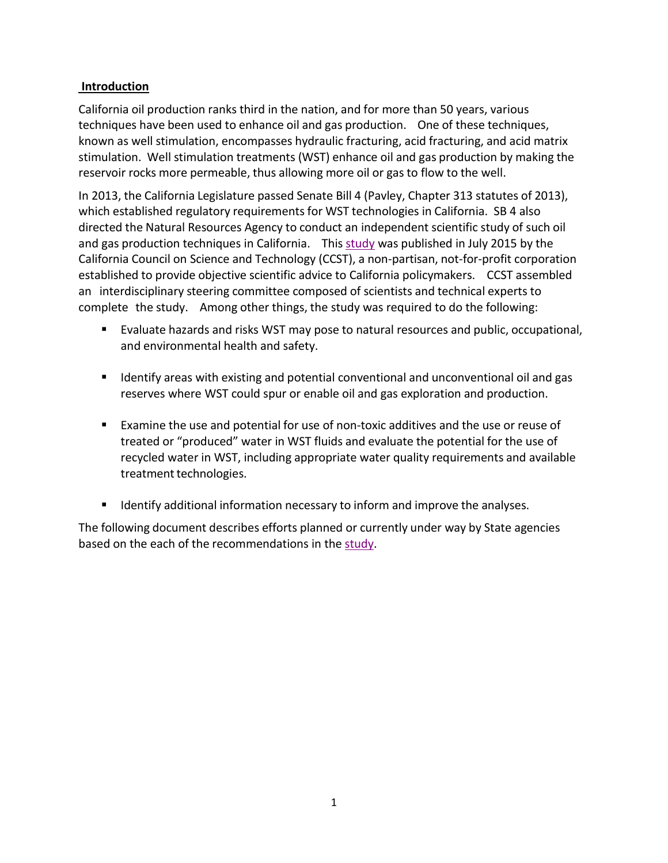#### **Introduction**

California oil production ranks third in the nation, and for more than 50 years, various techniques have been used to enhance oil and gas production. One of these techniques, known as well stimulation, encompasses hydraulic fracturing, acid fracturing, and acid matrix stimulation. Well stimulation treatments (WST) enhance oil and gas production by making the reservoir rocks more permeable, thus allowing more oil or gas to flow to the well.

In 2013, the California Legislature passed Senate Bill 4 (Pavley, Chapter 313 statutes of 2013), which established regulatory requirements for WST technologies in California. SB 4 also directed the Natural Resources Agency to conduct an independent scientific study of such oil and gas production techniques in California. This [study w](http://ccst.us/projects/hydraulic_fracturing_public/SB4.php)as published in July 2015 by the California Council on Science and Technology (CCST), a non-partisan, not-for-profit corporation established to provide objective scientific advice to California policymakers. CCST assembled an interdisciplinary steering committee composed of scientists and technical experts to complete the study. Among other things, the study was required to do the following:

- Evaluate hazards and risks WST may pose to natural resources and public, occupational, and environmental health and safety.
- **If all identify areas with existing and potential conventional and unconventional oil and gas** reserves where WST could spur or enable oil and gas exploration and production.
- Examine the use and potential for use of non-toxic additives and the use or reuse of treated or "produced" water in WST fluids and evaluate the potential for the use of recycled water in WST, including appropriate water quality requirements and available treatment technologies.
- **IDENTIFY IDENTIFY IS ADDITION IN A LOCAL THE INTEGRAL IS CONTINUES.** Information and improve the analyses.

The following document describes efforts planned or currently under way by State agencies based on the each of the recommendations in the [study.](http://ccst.us/projects/hydraulic_fracturing_public/SB4.php)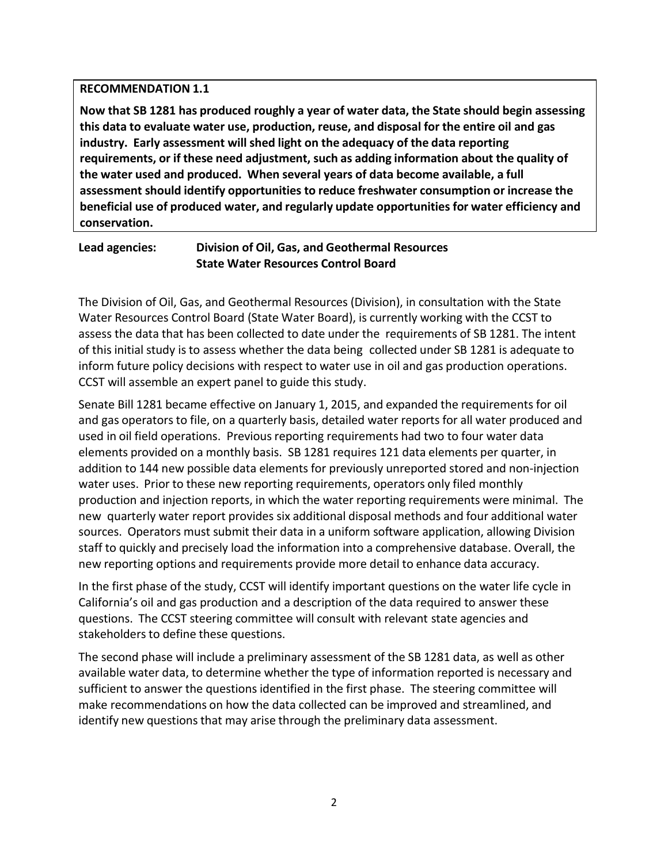#### **RECOMMENDATION 1.1**

**Now that SB 1281 has produced roughly a year of water data, the State should begin assessing this data to evaluate water use, production, reuse, and disposal for the entire oil and gas industry. Early assessment will shed light on the adequacy of the data reporting requirements, or if these need adjustment, such as adding information about the quality of the water used and produced. When several years of data become available, a full assessment should identify opportunities to reduce freshwater consumption or increase the beneficial use of produced water, and regularly update opportunities for water efficiency and conservation.**

## **Lead agencies: Division of Oil, Gas, and Geothermal Resources State Water Resources Control Board**

The Division of Oil, Gas, and Geothermal Resources (Division), in consultation with the State Water Resources Control Board (State Water Board), is currently working with the CCST to assess the data that has been collected to date under the requirements of SB 1281. The intent of this initial study is to assess whether the data being collected under SB 1281 is adequate to inform future policy decisions with respect to water use in oil and gas production operations. CCST will assemble an expert panel to guide this study.

Senate Bill 1281 became effective on January 1, 2015, and expanded the requirements for oil and gas operators to file, on a quarterly basis, detailed water reports for all water produced and used in oil field operations. Previous reporting requirements had two to four water data elements provided on a monthly basis. SB 1281 requires 121 data elements per quarter, in addition to 144 new possible data elements for previously unreported stored and non-injection water uses. Prior to these new reporting requirements, operators only filed monthly production and injection reports, in which the water reporting requirements were minimal. The new quarterly water report provides six additional disposal methods and four additional water sources. Operators must submit their data in a uniform software application, allowing Division staff to quickly and precisely load the information into a comprehensive database. Overall, the new reporting options and requirements provide more detail to enhance data accuracy.

In the first phase of the study, CCST will identify important questions on the water life cycle in California's oil and gas production and a description of the data required to answer these questions. The CCST steering committee will consult with relevant state agencies and stakeholders to define these questions.

The second phase will include a preliminary assessment of the SB 1281 data, as well as other available water data, to determine whether the type of information reported is necessary and sufficient to answer the questions identified in the first phase. The steering committee will make recommendations on how the data collected can be improved and streamlined, and identify new questions that may arise through the preliminary data assessment.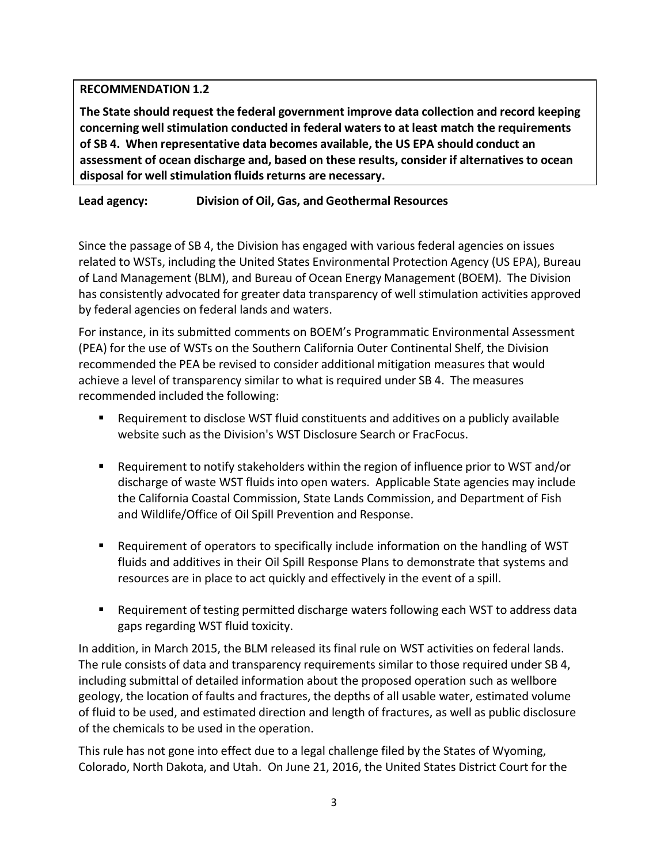## **RECOMMENDATION 1.2**

**The State should request the federal government improve data collection and record keeping concerning well stimulation conducted in federal waters to at least match the requirements of SB 4. When representative data becomes available, the US EPA should conduct an assessment of ocean discharge and, based on these results, consider if alternatives to ocean disposal for well stimulation fluids returns are necessary.**

# **Lead agency: Division of Oil, Gas, and Geothermal Resources**

Since the passage of SB 4, the Division has engaged with various federal agencies on issues related to WSTs, including the United States Environmental Protection Agency (US EPA), Bureau of Land Management (BLM), and Bureau of Ocean Energy Management (BOEM). The Division has consistently advocated for greater data transparency of well stimulation activities approved by federal agencies on federal lands and waters.

For instance, in its submitted comments on BOEM's Programmatic Environmental Assessment (PEA) for the use of WSTs on the Southern California Outer Continental Shelf, the Division recommended the PEA be revised to consider additional mitigation measures that would achieve a level of transparency similar to what is required under SB 4. The measures recommended included the following:

- Requirement to disclose WST fluid constituents and additives on a publicly available website such as the Division's WST Disclosure Search or FracFocus.
- Requirement to notify stakeholders within the region of influence prior to WST and/or discharge of waste WST fluids into open waters. Applicable State agencies may include the California Coastal Commission, State Lands Commission, and Department of Fish and Wildlife/Office of Oil Spill Prevention and Response.
- Requirement of operators to specifically include information on the handling of WST fluids and additives in their Oil Spill Response Plans to demonstrate that systems and resources are in place to act quickly and effectively in the event of a spill.
- Requirement of testing permitted discharge waters following each WST to address data gaps regarding WST fluid toxicity.

In addition, in March 2015, the BLM released its final rule on WST activities on federal lands. The rule consists of data and transparency requirements similar to those required under SB 4, including submittal of detailed information about the proposed operation such as wellbore geology, the location of faults and fractures, the depths of all usable water, estimated volume of fluid to be used, and estimated direction and length of fractures, as well as public disclosure of the chemicals to be used in the operation.

This rule has not gone into effect due to a legal challenge filed by the States of Wyoming, Colorado, North Dakota, and Utah. On June 21, 2016, the United States District Court for the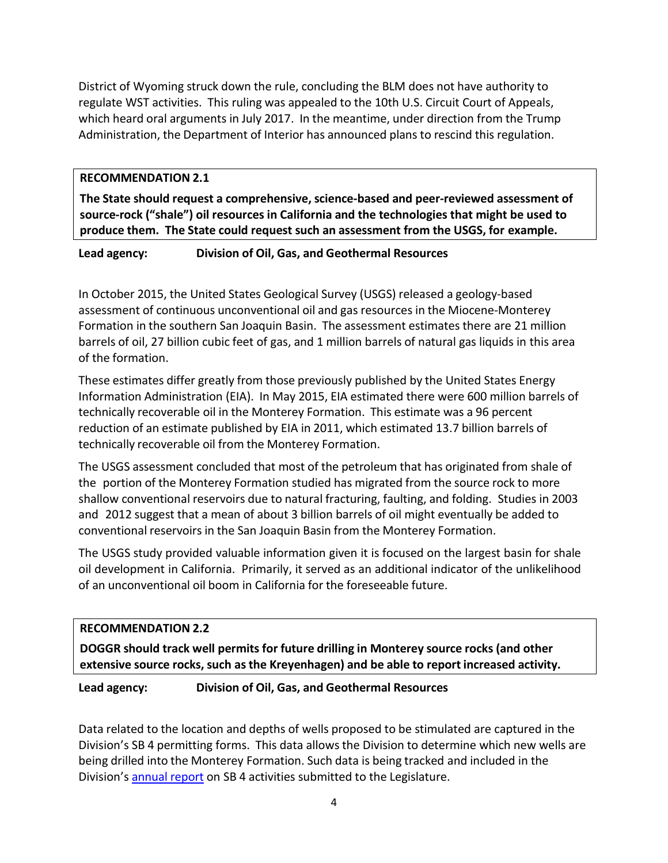District of Wyoming struck down the rule, concluding the BLM does not have authority to regulate WST activities. This ruling was appealed to the 10th U.S. Circuit Court of Appeals, which heard oral arguments in July 2017. In the meantime, under direction from the Trump Administration, the Department of Interior has announced plans to rescind this regulation.

#### **RECOMMENDATION 2.1**

**The State should request a comprehensive, science-based and peer-reviewed assessment of source-rock ("shale") oil resources in California and the technologies that might be used to produce them. The State could request such an assessment from the USGS, for example.**

**Lead agency: Division of Oil, Gas, and Geothermal Resources**

In October 2015, the United States Geological Survey (USGS) released a geology-based assessment of continuous unconventional oil and gas resources in the Miocene-Monterey Formation in the southern San Joaquin Basin. The assessment estimates there are 21 million barrels of oil, 27 billion cubic feet of gas, and 1 million barrels of natural gas liquids in this area of the formation.

These estimates differ greatly from those previously published by the United States Energy Information Administration (EIA). In May 2015, EIA estimated there were 600 million barrels of technically recoverable oil in the Monterey Formation. This estimate was a 96 percent reduction of an estimate published by EIA in 2011, which estimated 13.7 billion barrels of technically recoverable oil from the Monterey Formation.

The USGS assessment concluded that most of the petroleum that has originated from shale of the portion of the Monterey Formation studied has migrated from the source rock to more shallow conventional reservoirs due to natural fracturing, faulting, and folding. Studies in 2003 and 2012 suggest that a mean of about 3 billion barrels of oil might eventually be added to conventional reservoirs in the San Joaquin Basin from the Monterey Formation.

The USGS study provided valuable information given it is focused on the largest basin for shale oil development in California. Primarily, it served as an additional indicator of the unlikelihood of an unconventional oil boom in California for the foreseeable future.

## **RECOMMENDATION 2.2**

**DOGGR should track well permits for future drilling in Monterey source rocks (and other extensive source rocks, such as the Kreyenhagen) and be able to report increased activity.**

## **Lead agency: Division of Oil, Gas, and Geothermal Resources**

Data related to the location and depths of wells proposed to be stimulated are captured in the Division's SB 4 permitting forms. This data allows the Division to determine which new wells are being drilled into the Monterey Formation. Such data is being tracked and included in the Division's [annual report](ftp://ftp.consrv.ca.gov/pub/oil/WST_Annual_Reports/WST_2016_Report.pdf) on SB 4 activities submitted to the Legislature.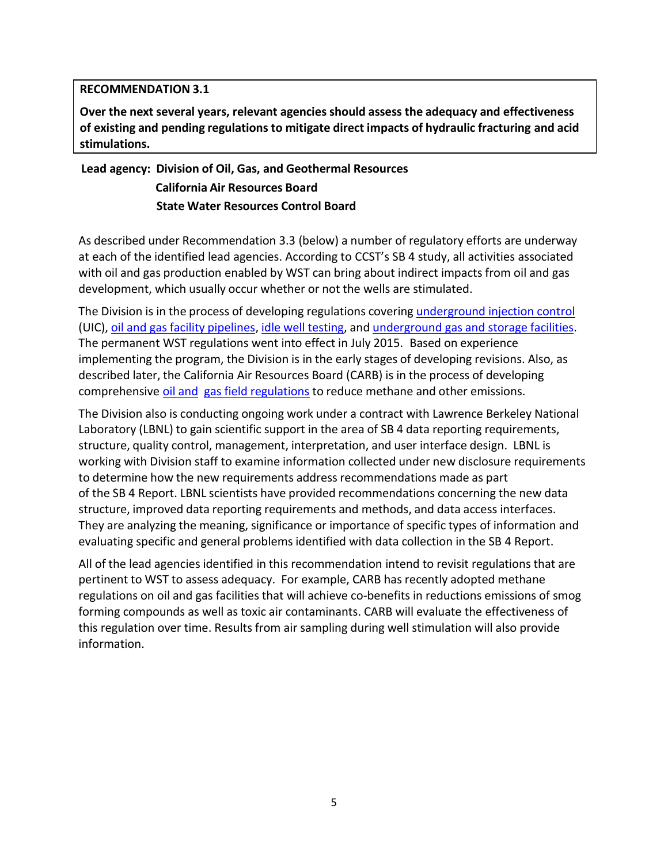#### **RECOMMENDATION 3.1**

**Over the next several years, relevant agencies should assess the adequacy and effectiveness of existing and pending regulations to mitigate direct impacts of hydraulic fracturing and acid stimulations.**

# **Lead agency: Division of Oil, Gas, and Geothermal Resources California Air Resources Board State Water Resources Control Board**

As described under Recommendation 3.3 (below) a number of regulatory efforts are underway at each of the identified lead agencies. According to CCST's SB 4 study, all activities associated with oil and gas production enabled by WST can bring about indirect impacts from oil and gas development, which usually occur whether or not the wells are stimulated.

The Division is in the process of developing regulations covering underground injection control (UIC), [oil and gas facility pipelines](http://www.conservation.ca.gov/dog/general_information/Pages/Pipelines.aspx), [idle well testing,](http://www.conservation.ca.gov/dog/general_information/Pages/IdleWells.aspx) and [underground gas and storage facilities](http://www.conservation.ca.gov/dog/general_information/Pages/UGSRules.aspx). The permanent WST regulations went into effect in July 2015. Based on experience implementing the program, the Division is in the early stages of developing revisions. Also, as described later, the California Air Resources Board (CARB) is in the process of developing comprehensive [oil and gas field regulations](https://www.arb.ca.gov/regact/2016/oilandgas2016/oilandgas2016.htm) to reduce methane and other emissions.

The Division also is conducting ongoing work under a contract with Lawrence Berkeley National Laboratory (LBNL) to gain scientific support in the area of SB 4 data reporting requirements, structure, quality control, management, interpretation, and user interface design. LBNL is working with Division staff to examine information collected under new disclosure requirements to determine how the new requirements address recommendations made as part of the SB 4 Report. LBNL scientists have provided recommendations concerning the new data structure, improved data reporting requirements and methods, and data access interfaces. They are analyzing the meaning, significance or importance of specific types of information and evaluating specific and general problems identified with data collection in the SB 4 Report.

All of the lead agencies identified in this recommendation intend to revisit regulations that are pertinent to WST to assess adequacy. For example, CARB has recently adopted methane regulations on oil and gas facilities that will achieve co-benefits in reductions emissions of smog forming compounds as well as toxic air contaminants. CARB will evaluate the effectiveness of this regulation over time. Results from air sampling during well stimulation will also provide information.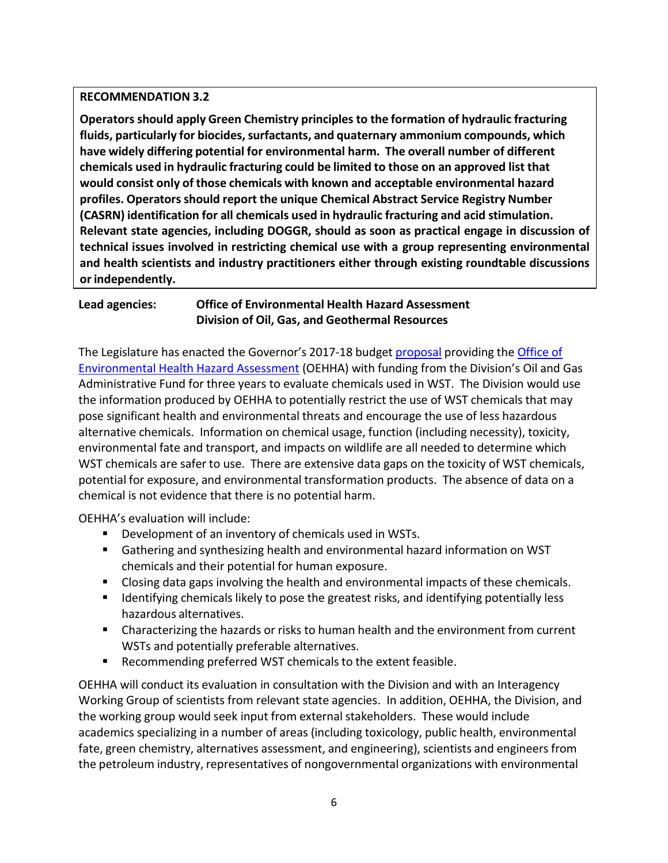#### **RECOMMENDATION 3.2**

**Operators should apply Green Chemistry principles to the formation of hydraulic fracturing fluids, particularly for biocides, surfactants, and quaternary ammonium compounds, which have widely differing potential for environmental harm. The overall number of different chemicals used in hydraulic fracturing could be limited to those on an approved list that would consist only of those chemicals with known and acceptable environmental hazard profiles. Operators should report the unique Chemical Abstract Service Registry Number (CASRN) identification for all chemicals used in hydraulic fracturing and acid stimulation. Relevant state agencies, including DOGGR, should as soon as practical engage in discussion of technical issues involved in restricting chemical use with a group representing environmental and health scientists and industry practitioners either through existing roundtable discussions or independently.**

# **Lead agencies: Office of Environmental Health Hazard Assessment Division of Oil, Gas, and Geothermal Resources**

The Legislature has enacted the Governor's 2017-18 budge[t proposal](http://web1a.esd.dof.ca.gov/Documents/bcp/1718/FY1718_ORG3980_BCP1366.pdf) providing the Office of [Environmental Health Hazard Assessment](http://www.ebudget.ca.gov/2017-18/pdf/Enacted/GovernorsBudget/3890/3980.pdf) (OEHHA) with funding from the Division's Oil and Gas Administrative Fund for three years to evaluate chemicals used in WST. The Division would use the information produced by OEHHA to potentially restrict the use of WST chemicals that may pose significant health and environmental threats and encourage the use of less hazardous alternative chemicals. Information on chemical usage, function (including necessity), toxicity, environmental fate and transport, and impacts on wildlife are all needed to determine which WST chemicals are safer to use. There are extensive data gaps on the toxicity of WST chemicals, potential for exposure, and environmental transformation products. The absence of data on a chemical is not evidence that there is no potential harm.

OEHHA's evaluation will include:

- Development of an inventory of chemicals used in WSTs.
- Gathering and synthesizing health and environmental hazard information on WST chemicals and their potential for human exposure.
- Closing data gaps involving the health and environmental impacts of these chemicals.
- **If all identifying chemicals likely to pose the greatest risks, and identifying potentially less** hazardous alternatives.
- Characterizing the hazards or risks to human health and the environment from current WSTs and potentially preferable alternatives.
- Recommending preferred WST chemicals to the extent feasible.

OEHHA will conduct its evaluation in consultation with the Division and with an Interagency Working Group of scientists from relevant state agencies. In addition, OEHHA, the Division, and the working group would seek input from external stakeholders. These would include academics specializing in a number of areas (including toxicology, public health, environmental fate, green chemistry, alternatives assessment, and engineering), scientists and engineers from the petroleum industry, representatives of nongovernmental organizations with environmental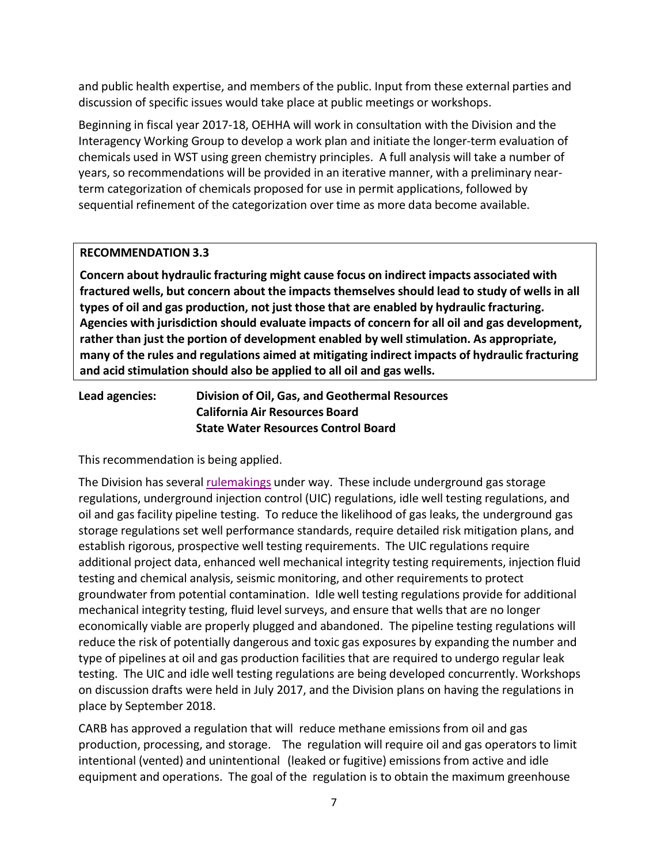and public health expertise, and members of the public. Input from these external parties and discussion of specific issues would take place at public meetings or workshops.

Beginning in fiscal year 2017-18, OEHHA will work in consultation with the Division and the Interagency Working Group to develop a work plan and initiate the longer-term evaluation of chemicals used in WST using green chemistry principles. A full analysis will take a number of years, so recommendations will be provided in an iterative manner, with a preliminary nearterm categorization of chemicals proposed for use in permit applications, followed by sequential refinement of the categorization over time as more data become available.

## **RECOMMENDATION 3.3**

**Concern about hydraulic fracturing might cause focus on indirect impacts associated with fractured wells, but concern about the impacts themselves should lead to study of wells in all types of oil and gas production, not just those that are enabled by hydraulic fracturing. Agencies with jurisdiction should evaluate impacts of concern for all oil and gas development, rather than just the portion of development enabled by well stimulation. As appropriate, many of the rules and regulations aimed at mitigating indirect impacts of hydraulic fracturing and acid stimulation should also be applied to all oil and gas wells.**

# **Lead agencies: Division of Oil, Gas, and Geothermal Resources California Air Resources Board State Water Resources Control Board**

This recommendation is being applied.

The Division has several [rulemakings u](http://www.conservation.ca.gov/index/Pages/rulemaking.aspx)nder way. These include underground gas storage regulations, underground injection control (UIC) regulations, idle well testing regulations, and oil and gas facility pipeline testing. To reduce the likelihood of gas leaks, the underground gas storage regulations set well performance standards, require detailed risk mitigation plans, and establish rigorous, prospective well testing requirements. The UIC regulations require additional project data, enhanced well mechanical integrity testing requirements, injection fluid testing and chemical analysis, seismic monitoring, and other requirements to protect groundwater from potential contamination. Idle well testing regulations provide for additional mechanical integrity testing, fluid level surveys, and ensure that wells that are no longer economically viable are properly plugged and abandoned. The pipeline testing regulations will reduce the risk of potentially dangerous and toxic gas exposures by expanding the number and type of pipelines at oil and gas production facilities that are required to undergo regular leak testing. The UIC and idle well testing regulations are being developed concurrently. Workshops on discussion drafts were held in July 2017, and the Division plans on having the regulations in place by September 2018.

CARB has approved a regulation that will reduce methane emissions from oil and gas production, processing, and storage. The regulation will require oil and gas operators to limit intentional (vented) and unintentional (leaked or fugitive) emissions from active and idle equipment and operations. The goal of the regulation is to obtain the maximum greenhouse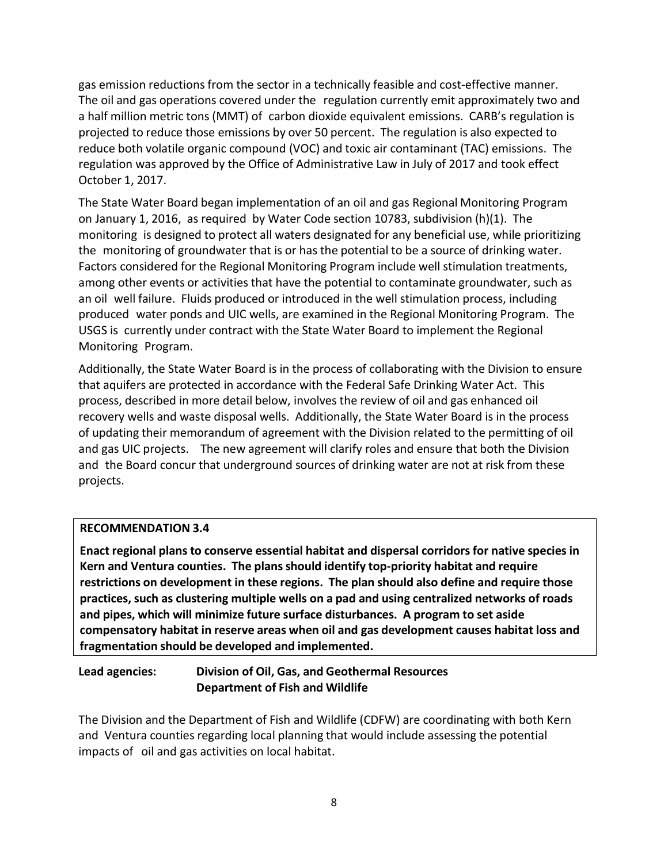gas emission reductions from the sector in a technically feasible and cost-effective manner. The oil and gas operations covered under the regulation currently emit approximately two and a half million metric tons (MMT) of carbon dioxide equivalent emissions. CARB's regulation is projected to reduce those emissions by over 50 percent. The regulation is also expected to reduce both volatile organic compound (VOC) and toxic air contaminant (TAC) emissions. The regulation was approved by the Office of Administrative Law in July of 2017 and took effect October 1, 2017.

The State Water Board began implementation of an oil and gas Regional Monitoring Program on January 1, 2016, as required by Water Code section 10783, subdivision (h)(1). The monitoring is designed to protect all waters designated for any beneficial use, while prioritizing the monitoring of groundwater that is or has the potential to be a source of drinking water. Factors considered for the Regional Monitoring Program include well stimulation treatments, among other events or activities that have the potential to contaminate groundwater, such as an oil well failure. Fluids produced or introduced in the well stimulation process, including produced water ponds and UIC wells, are examined in the Regional Monitoring Program. The USGS is currently under contract with the State Water Board to implement the Regional Monitoring Program.

Additionally, the State Water Board is in the process of collaborating with the Division to ensure that aquifers are protected in accordance with the Federal Safe Drinking Water Act. This process, described in more detail below, involves the review of oil and gas enhanced oil recovery wells and waste disposal wells. Additionally, the State Water Board is in the process of updating their memorandum of agreement with the Division related to the permitting of oil and gas UIC projects. The new agreement will clarify roles and ensure that both the Division and the Board concur that underground sources of drinking water are not at risk from these projects.

#### **RECOMMENDATION 3.4**

**Enact regional plans to conserve essential habitat and dispersal corridors for native species in Kern and Ventura counties. The plans should identify top-priority habitat and require restrictions on development in these regions. The plan should also define and require those practices, such as clustering multiple wells on a pad and using centralized networks of roads and pipes, which will minimize future surface disturbances. A program to set aside compensatory habitat in reserve areas when oil and gas development causes habitat loss and fragmentation should be developed and implemented.**

# **Lead agencies: Division of Oil, Gas, and Geothermal Resources Department of Fish and Wildlife**

The Division and the Department of Fish and Wildlife (CDFW) are coordinating with both Kern and Ventura counties regarding local planning that would include assessing the potential impacts of oil and gas activities on local habitat.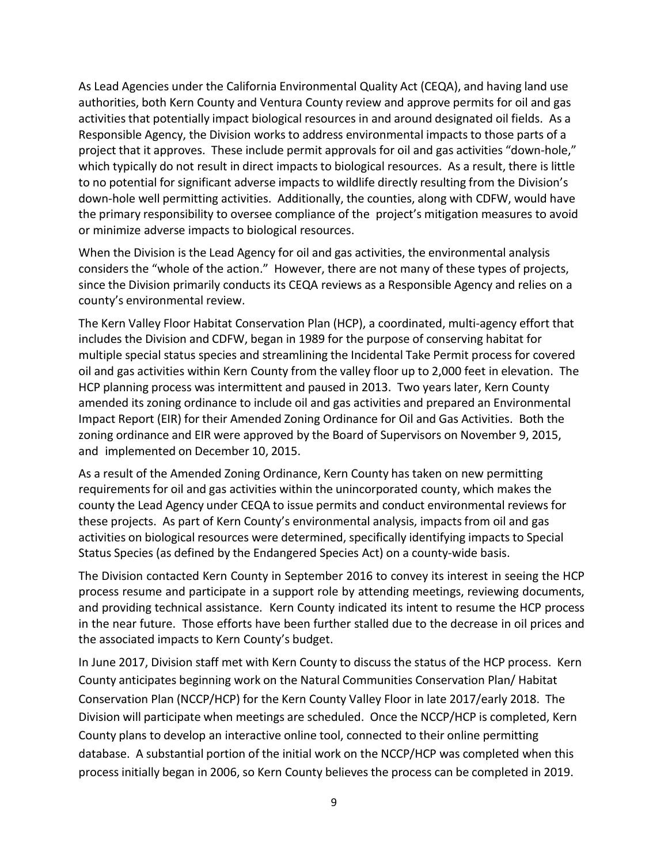As Lead Agencies under the California Environmental Quality Act (CEQA), and having land use authorities, both Kern County and Ventura County review and approve permits for oil and gas activities that potentially impact biological resources in and around designated oil fields. As a Responsible Agency, the Division works to address environmental impacts to those parts of a project that it approves. These include permit approvals for oil and gas activities "down-hole," which typically do not result in direct impacts to biological resources. As a result, there is little to no potential for significant adverse impacts to wildlife directly resulting from the Division's down-hole well permitting activities. Additionally, the counties, along with CDFW, would have the primary responsibility to oversee compliance of the project's mitigation measures to avoid or minimize adverse impacts to biological resources.

When the Division is the Lead Agency for oil and gas activities, the environmental analysis considers the "whole of the action." However, there are not many of these types of projects, since the Division primarily conducts its CEQA reviews as a Responsible Agency and relies on a county's environmental review.

The Kern Valley Floor Habitat Conservation Plan (HCP), a coordinated, multi-agency effort that includes the Division and CDFW, began in 1989 for the purpose of conserving habitat for multiple special status species and streamlining the Incidental Take Permit process for covered oil and gas activities within Kern County from the valley floor up to 2,000 feet in elevation. The HCP planning process was intermittent and paused in 2013. Two years later, Kern County amended its zoning ordinance to include oil and gas activities and prepared an Environmental Impact Report (EIR) for their Amended Zoning Ordinance for Oil and Gas Activities. Both the zoning ordinance and EIR were approved by the Board of Supervisors on November 9, 2015, and implemented on December 10, 2015.

As a result of the Amended Zoning Ordinance, Kern County has taken on new permitting requirements for oil and gas activities within the unincorporated county, which makes the county the Lead Agency under CEQA to issue permits and conduct environmental reviews for these projects. As part of Kern County's environmental analysis, impacts from oil and gas activities on biological resources were determined, specifically identifying impacts to Special Status Species (as defined by the Endangered Species Act) on a county-wide basis.

The Division contacted Kern County in September 2016 to convey its interest in seeing the HCP process resume and participate in a support role by attending meetings, reviewing documents, and providing technical assistance. Kern County indicated its intent to resume the HCP process in the near future. Those efforts have been further stalled due to the decrease in oil prices and the associated impacts to Kern County's budget.

In June 2017, Division staff met with Kern County to discuss the status of the HCP process. Kern County anticipates beginning work on the Natural Communities Conservation Plan/ Habitat Conservation Plan (NCCP/HCP) for the Kern County Valley Floor in late 2017/early 2018. The Division will participate when meetings are scheduled. Once the NCCP/HCP is completed, Kern County plans to develop an interactive online tool, connected to their online permitting database. A substantial portion of the initial work on the NCCP/HCP was completed when this process initially began in 2006, so Kern County believes the process can be completed in 2019.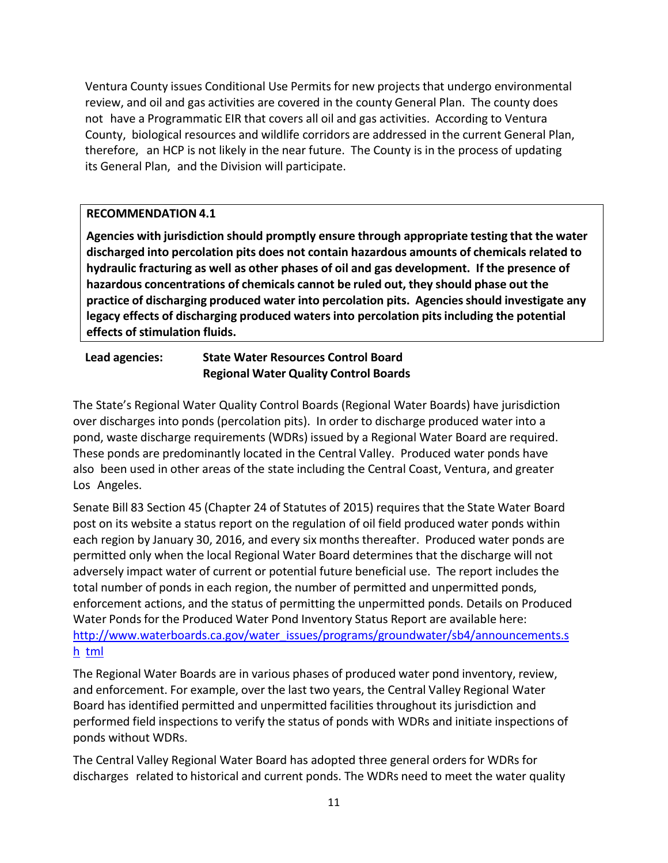Ventura County issues Conditional Use Permits for new projects that undergo environmental review, and oil and gas activities are covered in the county General Plan. The county does not have a Programmatic EIR that covers all oil and gas activities. According to Ventura County, biological resources and wildlife corridors are addressed in the current General Plan, therefore, an HCP is not likely in the near future. The County is in the process of updating its General Plan, and the Division will participate.

## **RECOMMENDATION 4.1**

**Agencies with jurisdiction should promptly ensure through appropriate testing that the water discharged into percolation pits does not contain hazardous amounts of chemicals related to hydraulic fracturing as well as other phases of oil and gas development. If the presence of hazardous concentrations of chemicals cannot be ruled out, they should phase out the practice of discharging produced water into percolation pits. Agencies should investigate any legacy effects of discharging produced waters into percolation pits including the potential effects of stimulation fluids.**

**Lead agencies: State Water Resources Control Board Regional Water Quality Control Boards**

The State's Regional Water Quality Control Boards (Regional Water Boards) have jurisdiction over discharges into ponds (percolation pits). In order to discharge produced water into a pond, waste discharge requirements (WDRs) issued by a Regional Water Board are required. These ponds are predominantly located in the Central Valley. Produced water ponds have also been used in other areas of the state including the Central Coast, Ventura, and greater Los Angeles.

Senate Bill 83 Section 45 (Chapter 24 of Statutes of 2015) requires that the State Water Board post on its website a status report on the regulation of oil field produced water ponds within each region by January 30, 2016, and every six months thereafter. Produced water ponds are permitted only when the local Regional Water Board determines that the discharge will not adversely impact water of current or potential future beneficial use. The report includes the total number of ponds in each region, the number of permitted and unpermitted ponds, enforcement actions, and the status of permitting the unpermitted ponds. Details on Produced Water Ponds for the Produced Water Pond Inventory Status Report are available here: [http://www.waterboards.ca.gov/water\\_issues/programs/groundwater/sb4/announcements.s](http://www.waterboards.ca.gov/water_issues/programs/groundwater/sb4/announcements.shtml) [h tml](http://www.waterboards.ca.gov/water_issues/programs/groundwater/sb4/announcements.shtml)

The Regional Water Boards are in various phases of produced water pond inventory, review, and enforcement. For example, over the last two years, the Central Valley Regional Water Board has identified permitted and unpermitted facilities throughout its jurisdiction and performed field inspections to verify the status of ponds with WDRs and initiate inspections of ponds without WDRs.

The Central Valley Regional Water Board has adopted three general orders for WDRs for discharges related to historical and current ponds. The WDRs need to meet the water quality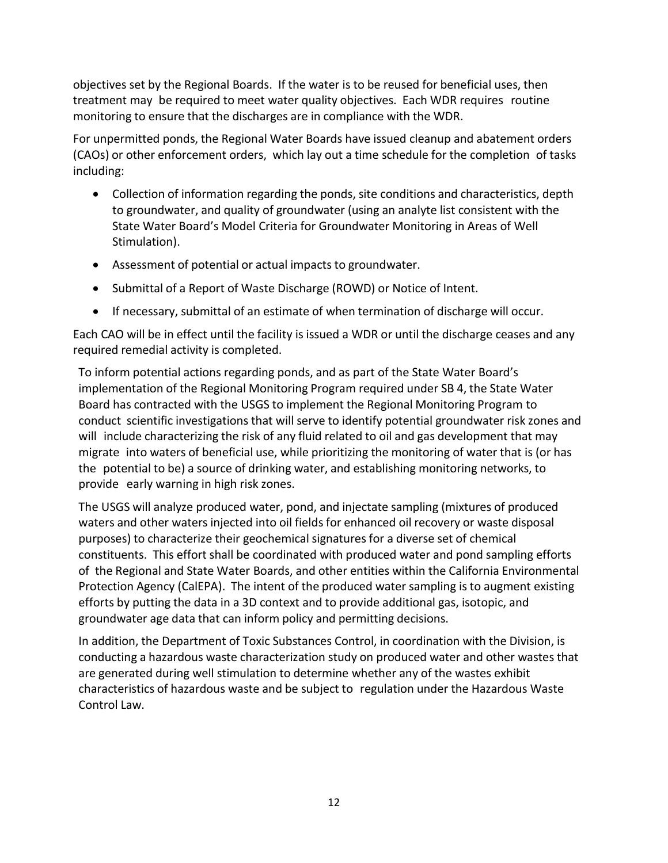objectives set by the Regional Boards. If the water is to be reused for beneficial uses, then treatment may be required to meet water quality objectives. Each WDR requires routine monitoring to ensure that the discharges are in compliance with the WDR.

For unpermitted ponds, the Regional Water Boards have issued cleanup and abatement orders (CAOs) or other enforcement orders, which lay out a time schedule for the completion of tasks including:

- Collection of information regarding the ponds, site conditions and characteristics, depth to groundwater, and quality of groundwater (using an analyte list consistent with the State Water Board's Model Criteria for Groundwater Monitoring in Areas of Well Stimulation).
- Assessment of potential or actual impacts to groundwater.
- Submittal of a Report of Waste Discharge (ROWD) or Notice of Intent.
- If necessary, submittal of an estimate of when termination of discharge will occur.

Each CAO will be in effect until the facility is issued a WDR or until the discharge ceases and any required remedial activity is completed.

To inform potential actions regarding ponds, and as part of the State Water Board's implementation of the Regional Monitoring Program required under SB 4, the State Water Board has contracted with the USGS to implement the Regional Monitoring Program to conduct scientific investigations that will serve to identify potential groundwater risk zones and will include characterizing the risk of any fluid related to oil and gas development that may migrate into waters of beneficial use, while prioritizing the monitoring of water that is (or has the potential to be) a source of drinking water, and establishing monitoring networks, to provide early warning in high risk zones.

The USGS will analyze produced water, pond, and injectate sampling (mixtures of produced waters and other waters injected into oil fields for enhanced oil recovery or waste disposal purposes) to characterize their geochemical signatures for a diverse set of chemical constituents. This effort shall be coordinated with produced water and pond sampling efforts of the Regional and State Water Boards, and other entities within the California Environmental Protection Agency (CalEPA). The intent of the produced water sampling is to augment existing efforts by putting the data in a 3D context and to provide additional gas, isotopic, and groundwater age data that can inform policy and permitting decisions.

In addition, the Department of Toxic Substances Control, in coordination with the Division, is conducting a hazardous waste characterization study on produced water and other wastes that are generated during well stimulation to determine whether any of the wastes exhibit characteristics of hazardous waste and be subject to regulation under the Hazardous Waste Control Law.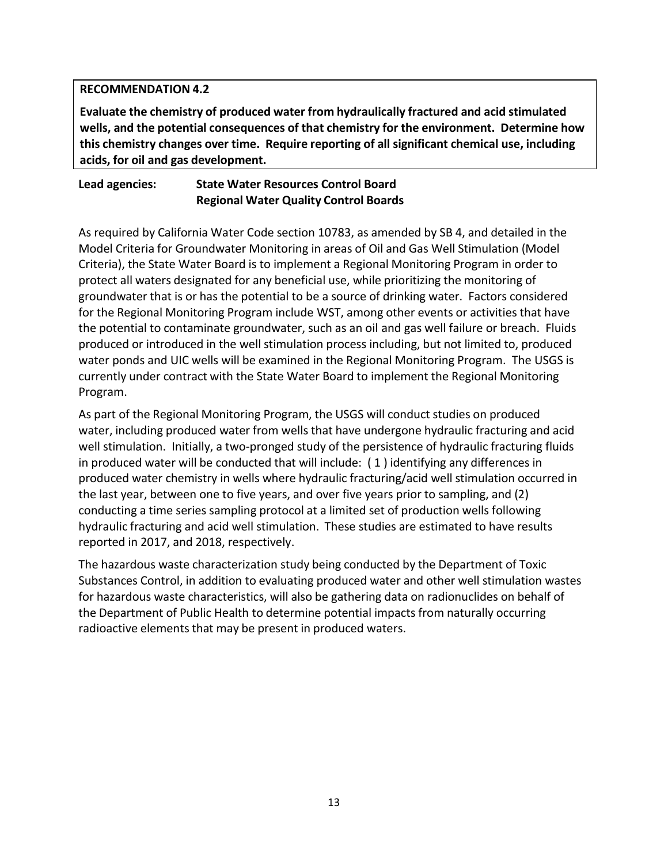#### **RECOMMENDATION 4.2**

**Evaluate the chemistry of produced water from hydraulically fractured and acid stimulated wells, and the potential consequences of that chemistry for the environment. Determine how this chemistry changes over time. Require reporting of all significant chemical use, including acids, for oil and gas development.**

## **Lead agencies: State Water Resources Control Board Regional Water Quality Control Boards**

As required by California Water Code section 10783, as amended by SB 4, and detailed in the Model Criteria for Groundwater Monitoring in areas of Oil and Gas Well Stimulation (Model Criteria), the State Water Board is to implement a Regional Monitoring Program in order to protect all waters designated for any beneficial use, while prioritizing the monitoring of groundwater that is or has the potential to be a source of drinking water. Factors considered for the Regional Monitoring Program include WST, among other events or activities that have the potential to contaminate groundwater, such as an oil and gas well failure or breach. Fluids produced or introduced in the well stimulation process including, but not limited to, produced water ponds and UIC wells will be examined in the Regional Monitoring Program. The USGS is currently under contract with the State Water Board to implement the Regional Monitoring Program.

As part of the Regional Monitoring Program, the USGS will conduct studies on produced water, including produced water from wells that have undergone hydraulic fracturing and acid well stimulation. Initially, a two-pronged study of the persistence of hydraulic fracturing fluids in produced water will be conducted that will include: ( 1 ) identifying any differences in produced water chemistry in wells where hydraulic fracturing/acid well stimulation occurred in the last year, between one to five years, and over five years prior to sampling, and (2) conducting a time series sampling protocol at a limited set of production wells following hydraulic fracturing and acid well stimulation. These studies are estimated to have results reported in 2017, and 2018, respectively.

The hazardous waste characterization study being conducted by the Department of Toxic Substances Control, in addition to evaluating produced water and other well stimulation wastes for hazardous waste characteristics, will also be gathering data on radionuclides on behalf of the Department of Public Health to determine potential impacts from naturally occurring radioactive elements that may be present in produced waters.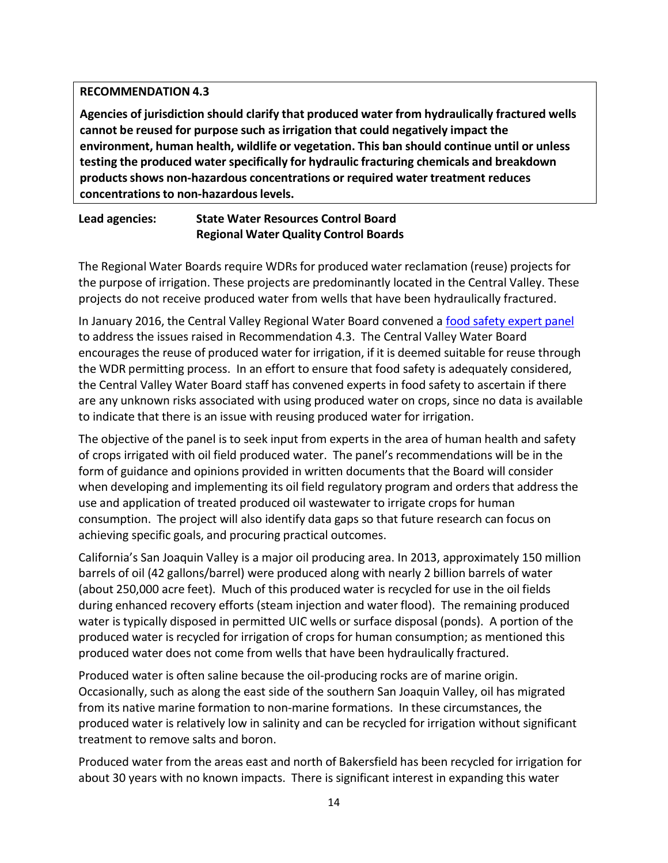#### **RECOMMENDATION 4.3**

**Agencies of jurisdiction should clarify that produced water from hydraulically fractured wells cannot be reused for purpose such as irrigation that could negatively impact the environment, human health, wildlife or vegetation. This ban should continue until or unless testing the produced water specifically for hydraulic fracturing chemicals and breakdown products shows non-hazardous concentrations or required water treatment reduces concentrations to non-hazardous levels.**

## **Lead agencies: State Water Resources Control Board Regional Water Quality Control Boards**

The Regional Water Boards require WDRs for produced water reclamation (reuse) projects for the purpose of irrigation. These projects are predominantly located in the Central Valley. These projects do not receive produced water from wells that have been hydraulically fractured.

In January 2016, the Central Valley Regional Water Board convened a [food safety expert panel](http://www.waterboards.ca.gov/rwqcb5/water_issues/oil_fields/food_safety/index.shtml)  to address the issues raised in Recommendation 4.3. The Central Valley Water Board encourages the reuse of produced water for irrigation, if it is deemed suitable for reuse through the WDR permitting process. In an effort to ensure that food safety is adequately considered, the Central Valley Water Board staff has convened experts in food safety to ascertain if there are any unknown risks associated with using produced water on crops, since no data is available to indicate that there is an issue with reusing produced water for irrigation.

The objective of the panel is to seek input from experts in the area of human health and safety of crops irrigated with oil field produced water. The panel's recommendations will be in the form of guidance and opinions provided in written documents that the Board will consider when developing and implementing its oil field regulatory program and orders that address the use and application of treated produced oil wastewater to irrigate crops for human consumption. The project will also identify data gaps so that future research can focus on achieving specific goals, and procuring practical outcomes.

California's San Joaquin Valley is a major oil producing area. In 2013, approximately 150 million barrels of oil (42 gallons/barrel) were produced along with nearly 2 billion barrels of water (about 250,000 acre feet). Much of this produced water is recycled for use in the oil fields during enhanced recovery efforts (steam injection and water flood). The remaining produced water is typically disposed in permitted UIC wells or surface disposal (ponds). A portion of the produced water is recycled for irrigation of crops for human consumption; as mentioned this produced water does not come from wells that have been hydraulically fractured.

Produced water is often saline because the oil-producing rocks are of marine origin. Occasionally, such as along the east side of the southern San Joaquin Valley, oil has migrated from its native marine formation to non-marine formations. In these circumstances, the produced water is relatively low in salinity and can be recycled for irrigation without significant treatment to remove salts and boron.

Produced water from the areas east and north of Bakersfield has been recycled for irrigation for about 30 years with no known impacts. There is significant interest in expanding this water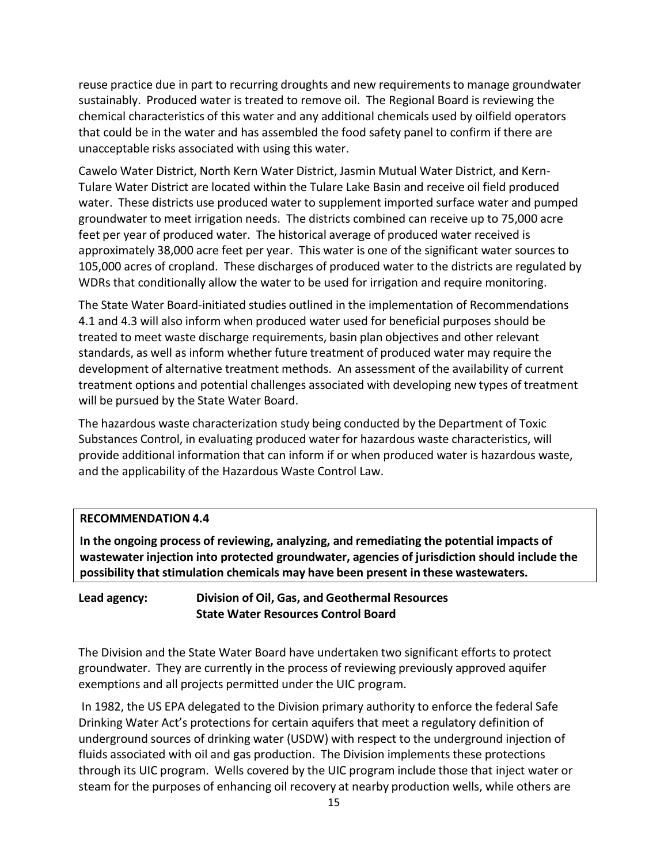reuse practice due in part to recurring droughts and new requirements to manage groundwater sustainably. Produced water is treated to remove oil. The Regional Board is reviewing the chemical characteristics of this water and any additional chemicals used by oilfield operators that could be in the water and has assembled the food safety panel to confirm if there are unacceptable risks associated with using this water.

Cawelo Water District, North Kern Water District, Jasmin Mutual Water District, and Kern-Tulare Water District are located within the Tulare Lake Basin and receive oil field produced water. These districts use produced water to supplement imported surface water and pumped groundwater to meet irrigation needs. The districts combined can receive up to 75,000 acre feet per year of produced water. The historical average of produced water received is approximately 38,000 acre feet per year. This water is one of the significant water sources to 105,000 acres of cropland. These discharges of produced water to the districts are regulated by WDRs that conditionally allow the water to be used for irrigation and require monitoring.

The State Water Board-initiated studies outlined in the implementation of Recommendations 4.1 and 4.3 will also inform when produced water used for beneficial purposes should be treated to meet waste discharge requirements, basin plan objectives and other relevant standards, as well as inform whether future treatment of produced water may require the development of alternative treatment methods. An assessment of the availability of current treatment options and potential challenges associated with developing new types of treatment will be pursued by the State Water Board.

The hazardous waste characterization study being conducted by the Department of Toxic Substances Control, in evaluating produced water for hazardous waste characteristics, will provide additional information that can inform if or when produced water is hazardous waste, and the applicability of the Hazardous Waste Control Law.

## **RECOMMENDATION 4.4**

**In the ongoing process of reviewing, analyzing, and remediating the potential impacts of wastewater injection into protected groundwater, agencies of jurisdiction should include the possibility that stimulation chemicals may have been present in these wastewaters.**

## **Lead agency: Division of Oil, Gas, and Geothermal Resources State Water Resources Control Board**

The Division and the State Water Board have undertaken two significant efforts to protect groundwater. They are currently in the process of reviewing previously approved aquifer exemptions and all projects permitted under the UIC program.

In 1982, the US EPA delegated to the Division primary authority to enforce the federal Safe Drinking Water Act's protections for certain aquifers that meet a regulatory definition of underground sources of drinking water (USDW) with respect to the underground injection of fluids associated with oil and gas production. The Division implements these protections through its UIC program. Wells covered by the UIC program include those that inject water or steam for the purposes of enhancing oil recovery at nearby production wells, while others are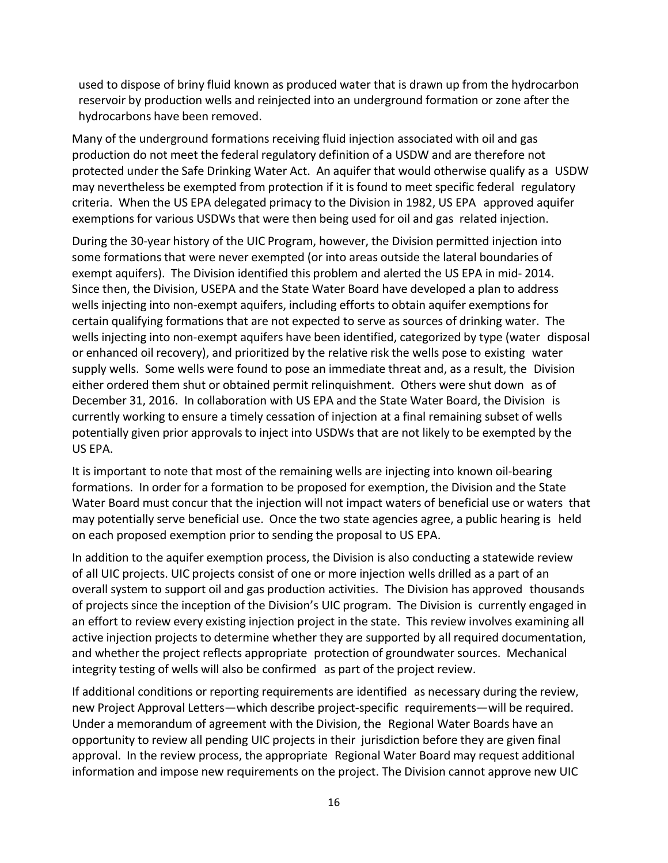used to dispose of briny fluid known as produced water that is drawn up from the hydrocarbon reservoir by production wells and reinjected into an underground formation or zone after the hydrocarbons have been removed.

Many of the underground formations receiving fluid injection associated with oil and gas production do not meet the federal regulatory definition of a USDW and are therefore not protected under the Safe Drinking Water Act. An aquifer that would otherwise qualify as a USDW may nevertheless be exempted from protection if it is found to meet specific federal regulatory criteria. When the US EPA delegated primacy to the Division in 1982, US EPA approved aquifer exemptions for various USDWs that were then being used for oil and gas related injection.

During the 30-year history of the UIC Program, however, the Division permitted injection into some formations that were never exempted (or into areas outside the lateral boundaries of exempt aquifers). The Division identified this problem and alerted the US EPA in mid- 2014. Since then, the Division, USEPA and the State Water Board have developed a plan to address wells injecting into non-exempt aquifers, including efforts to obtain aquifer exemptions for certain qualifying formations that are not expected to serve as sources of drinking water. The wells injecting into non-exempt aquifers have been identified, categorized by type (water disposal or enhanced oil recovery), and prioritized by the relative risk the wells pose to existing water supply wells. Some wells were found to pose an immediate threat and, as a result, the Division either ordered them shut or obtained permit relinquishment. Others were shut down as of December 31, 2016. In collaboration with US EPA and the State Water Board, the Division is currently working to ensure a timely cessation of injection at a final remaining subset of wells potentially given prior approvals to inject into USDWs that are not likely to be exempted by the US EPA.

It is important to note that most of the remaining wells are injecting into known oil-bearing formations. In order for a formation to be proposed for exemption, the Division and the State Water Board must concur that the injection will not impact waters of beneficial use or waters that may potentially serve beneficial use. Once the two state agencies agree, a public hearing is held on each proposed exemption prior to sending the proposal to US EPA.

In addition to the aquifer exemption process, the Division is also conducting a statewide review of all UIC projects. UIC projects consist of one or more injection wells drilled as a part of an overall system to support oil and gas production activities. The Division has approved thousands of projects since the inception of the Division's UIC program. The Division is currently engaged in an effort to review every existing injection project in the state. This review involves examining all active injection projects to determine whether they are supported by all required documentation, and whether the project reflects appropriate protection of groundwater sources. Mechanical integrity testing of wells will also be confirmed as part of the project review.

If additional conditions or reporting requirements are identified as necessary during the review, new Project Approval Letters—which describe project-specific requirements—will be required. Under a memorandum of agreement with the Division, the Regional Water Boards have an opportunity to review all pending UIC projects in their jurisdiction before they are given final approval. In the review process, the appropriate Regional Water Board may request additional information and impose new requirements on the project. The Division cannot approve new UIC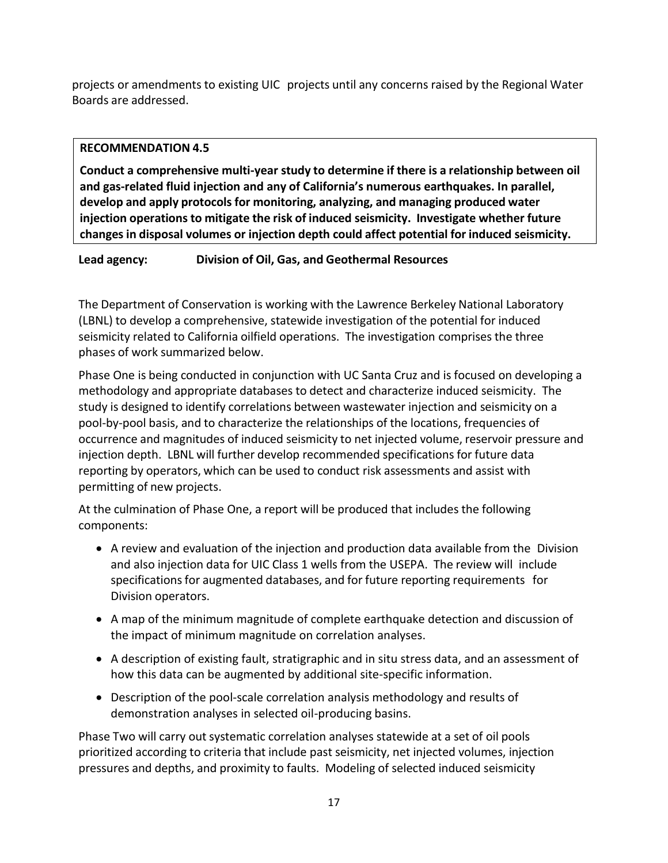projects or amendments to existing UIC projects until any concerns raised by the Regional Water Boards are addressed.

#### **RECOMMENDATION 4.5**

**Conduct a comprehensive multi-year study to determine if there is a relationship between oil and gas-related fluid injection and any of California's numerous earthquakes. In parallel, develop and apply protocols for monitoring, analyzing, and managing produced water injection operations to mitigate the risk of induced seismicity. Investigate whether future changes in disposal volumes or injection depth could affect potential for induced seismicity.**

## **Lead agency: Division of Oil, Gas, and Geothermal Resources**

The Department of Conservation is working with the Lawrence Berkeley National Laboratory (LBNL) to develop a comprehensive, statewide investigation of the potential for induced seismicity related to California oilfield operations. The investigation comprises the three phases of work summarized below.

Phase One is being conducted in conjunction with UC Santa Cruz and is focused on developing a methodology and appropriate databases to detect and characterize induced seismicity. The study is designed to identify correlations between wastewater injection and seismicity on a pool-by-pool basis, and to characterize the relationships of the locations, frequencies of occurrence and magnitudes of induced seismicity to net injected volume, reservoir pressure and injection depth. LBNL will further develop recommended specifications for future data reporting by operators, which can be used to conduct risk assessments and assist with permitting of new projects.

At the culmination of Phase One, a report will be produced that includes the following components:

- A review and evaluation of the injection and production data available from the Division and also injection data for UIC Class 1 wells from the USEPA. The review will include specifications for augmented databases, and for future reporting requirements for Division operators.
- A map of the minimum magnitude of complete earthquake detection and discussion of the impact of minimum magnitude on correlation analyses.
- A description of existing fault, stratigraphic and in situ stress data, and an assessment of how this data can be augmented by additional site-specific information.
- Description of the pool-scale correlation analysis methodology and results of demonstration analyses in selected oil-producing basins.

Phase Two will carry out systematic correlation analyses statewide at a set of oil pools prioritized according to criteria that include past seismicity, net injected volumes, injection pressures and depths, and proximity to faults. Modeling of selected induced seismicity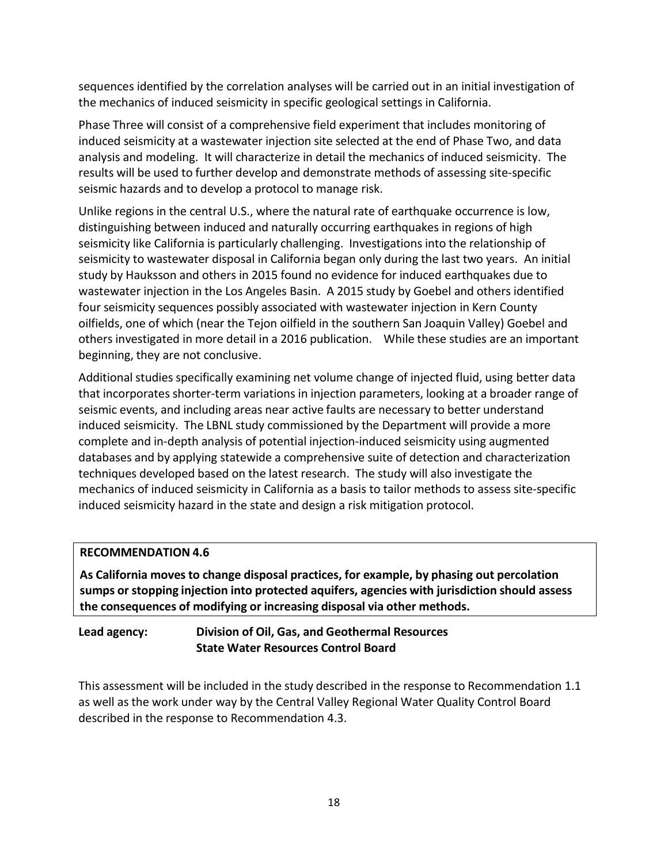sequences identified by the correlation analyses will be carried out in an initial investigation of the mechanics of induced seismicity in specific geological settings in California.

Phase Three will consist of a comprehensive field experiment that includes monitoring of induced seismicity at a wastewater injection site selected at the end of Phase Two, and data analysis and modeling. It will characterize in detail the mechanics of induced seismicity. The results will be used to further develop and demonstrate methods of assessing site-specific seismic hazards and to develop a protocol to manage risk.

Unlike regions in the central U.S., where the natural rate of earthquake occurrence is low, distinguishing between induced and naturally occurring earthquakes in regions of high seismicity like California is particularly challenging. Investigations into the relationship of seismicity to wastewater disposal in California began only during the last two years. An initial study by Hauksson and others in 2015 found no evidence for induced earthquakes due to wastewater injection in the Los Angeles Basin. A 2015 study by Goebel and others identified four seismicity sequences possibly associated with wastewater injection in Kern County oilfields, one of which (near the Tejon oilfield in the southern San Joaquin Valley) Goebel and others investigated in more detail in a 2016 publication. While these studies are an important beginning, they are not conclusive.

Additional studies specifically examining net volume change of injected fluid, using better data that incorporates shorter-term variations in injection parameters, looking at a broader range of seismic events, and including areas near active faults are necessary to better understand induced seismicity. The LBNL study commissioned by the Department will provide a more complete and in-depth analysis of potential injection-induced seismicity using augmented databases and by applying statewide a comprehensive suite of detection and characterization techniques developed based on the latest research. The study will also investigate the mechanics of induced seismicity in California as a basis to tailor methods to assess site-specific induced seismicity hazard in the state and design a risk mitigation protocol.

## **RECOMMENDATION 4.6**

**As California moves to change disposal practices, for example, by phasing out percolation sumps or stopping injection into protected aquifers, agencies with jurisdiction should assess the consequences of modifying or increasing disposal via other methods.**

# **Lead agency: Division of Oil, Gas, and Geothermal Resources State Water Resources Control Board**

This assessment will be included in the study described in the response to Recommendation 1.1 as well as the work under way by the Central Valley Regional Water Quality Control Board described in the response to Recommendation 4.3.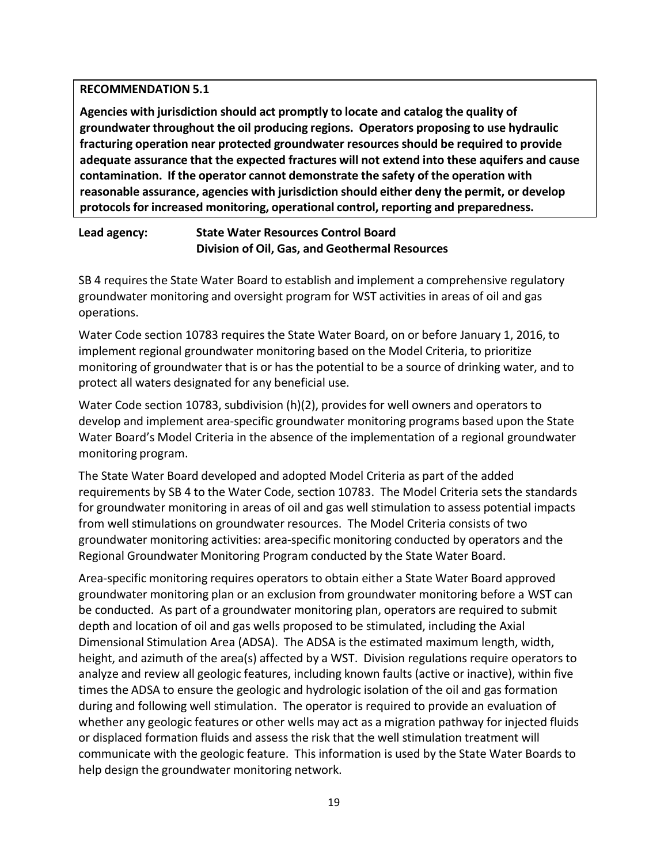#### **RECOMMENDATION 5.1**

**Agencies with jurisdiction should act promptly to locate and catalog the quality of groundwater throughout the oil producing regions. Operators proposing to use hydraulic fracturing operation near protected groundwater resources should be required to provide adequate assurance that the expected fractures will not extend into these aquifers and cause contamination. If the operator cannot demonstrate the safety of the operation with reasonable assurance, agencies with jurisdiction should either deny the permit, or develop protocols for increased monitoring, operational control, reporting and preparedness.**

## **Lead agency: State Water Resources Control Board Division of Oil, Gas, and Geothermal Resources**

SB 4 requires the State Water Board to establish and implement a comprehensive regulatory groundwater monitoring and oversight program for WST activities in areas of oil and gas operations.

Water Code section 10783 requires the State Water Board, on or before January 1, 2016, to implement regional groundwater monitoring based on the Model Criteria, to prioritize monitoring of groundwater that is or has the potential to be a source of drinking water, and to protect all waters designated for any beneficial use.

Water Code section 10783, subdivision (h)(2), provides for well owners and operators to develop and implement area-specific groundwater monitoring programs based upon the State Water Board's Model Criteria in the absence of the implementation of a regional groundwater monitoring program.

The State Water Board developed and adopted Model Criteria as part of the added requirements by SB 4 to the Water Code, section 10783. The Model Criteria sets the standards for groundwater monitoring in areas of oil and gas well stimulation to assess potential impacts from well stimulations on groundwater resources. The Model Criteria consists of two groundwater monitoring activities: area-specific monitoring conducted by operators and the Regional Groundwater Monitoring Program conducted by the State Water Board.

Area-specific monitoring requires operators to obtain either a State Water Board approved groundwater monitoring plan or an exclusion from groundwater monitoring before a WST can be conducted. As part of a groundwater monitoring plan, operators are required to submit depth and location of oil and gas wells proposed to be stimulated, including the Axial Dimensional Stimulation Area (ADSA). The ADSA is the estimated maximum length, width, height, and azimuth of the area(s) affected by a WST. Division regulations require operators to analyze and review all geologic features, including known faults (active or inactive), within five times the ADSA to ensure the geologic and hydrologic isolation of the oil and gas formation during and following well stimulation. The operator is required to provide an evaluation of whether any geologic features or other wells may act as a migration pathway for injected fluids or displaced formation fluids and assess the risk that the well stimulation treatment will communicate with the geologic feature. This information is used by the State Water Boards to help design the groundwater monitoring network.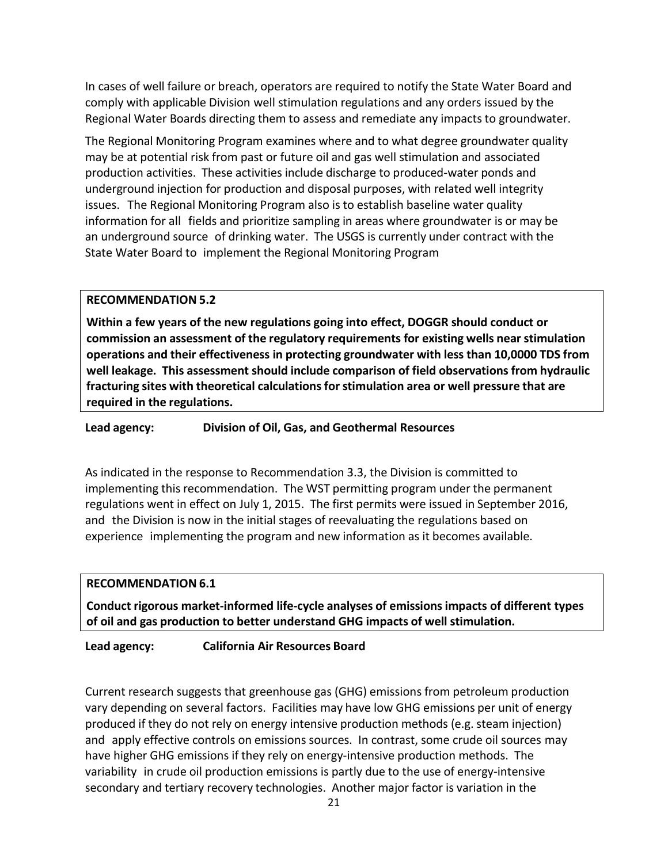In cases of well failure or breach, operators are required to notify the State Water Board and comply with applicable Division well stimulation regulations and any orders issued by the Regional Water Boards directing them to assess and remediate any impacts to groundwater.

The Regional Monitoring Program examines where and to what degree groundwater quality may be at potential risk from past or future oil and gas well stimulation and associated production activities. These activities include discharge to produced-water ponds and underground injection for production and disposal purposes, with related well integrity issues. The Regional Monitoring Program also is to establish baseline water quality information for all fields and prioritize sampling in areas where groundwater is or may be an underground source of drinking water. The USGS is currently under contract with the State Water Board to implement the Regional Monitoring Program

#### **RECOMMENDATION 5.2**

**Within a few years of the new regulations going into effect, DOGGR should conduct or commission an assessment of the regulatory requirements for existing wells near stimulation operations and their effectiveness in protecting groundwater with less than 10,0000 TDS from well leakage. This assessment should include comparison of field observations from hydraulic fracturing sites with theoretical calculations for stimulation area or well pressure that are required in the regulations.**

**Lead agency: Division of Oil, Gas, and Geothermal Resources**

As indicated in the response to Recommendation 3.3, the Division is committed to implementing this recommendation. The WST permitting program under the permanent regulations went in effect on July 1, 2015. The first permits were issued in September 2016, and the Division is now in the initial stages of reevaluating the regulations based on experience implementing the program and new information as it becomes available.

#### **RECOMMENDATION 6.1**

**Conduct rigorous market-informed life-cycle analyses of emissions impacts of different types of oil and gas production to better understand GHG impacts of well stimulation.**

**Lead agency: California Air Resources Board**

Current research suggests that greenhouse gas (GHG) emissions from petroleum production vary depending on several factors. Facilities may have low GHG emissions per unit of energy produced if they do not rely on energy intensive production methods (e.g. steam injection) and apply effective controls on emissions sources. In contrast, some crude oil sources may have higher GHG emissions if they rely on energy-intensive production methods. The variability in crude oil production emissions is partly due to the use of energy-intensive secondary and tertiary recovery technologies. Another major factor is variation in the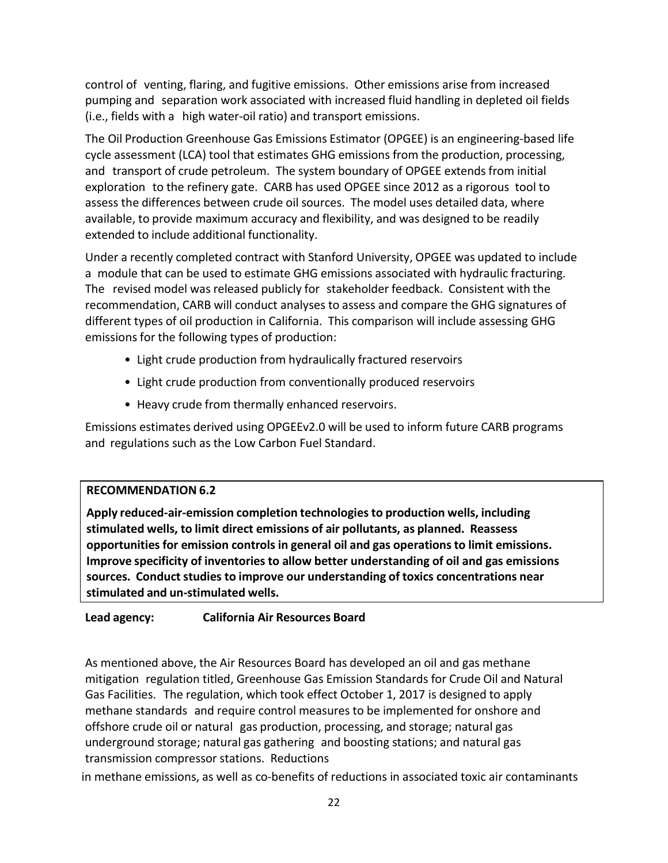control of venting, flaring, and fugitive emissions. Other emissions arise from increased pumping and separation work associated with increased fluid handling in depleted oil fields (i.e., fields with a high water-oil ratio) and transport emissions.

The Oil Production Greenhouse Gas Emissions Estimator (OPGEE) is an engineering-based life cycle assessment (LCA) tool that estimates GHG emissions from the production, processing, and transport of crude petroleum. The system boundary of OPGEE extends from initial exploration to the refinery gate. CARB has used OPGEE since 2012 as a rigorous tool to assess the differences between crude oil sources. The model uses detailed data, where available, to provide maximum accuracy and flexibility, and was designed to be readily extended to include additional functionality.

Under a recently completed contract with Stanford University, OPGEE was updated to include a module that can be used to estimate GHG emissions associated with hydraulic fracturing. The revised model was released publicly for stakeholder feedback. Consistent with the recommendation, CARB will conduct analyses to assess and compare the GHG signatures of different types of oil production in California. This comparison will include assessing GHG emissions for the following types of production:

- Light crude production from hydraulically fractured reservoirs
- Light crude production from conventionally produced reservoirs
- Heavy crude from thermally enhanced reservoirs.

Emissions estimates derived using OPGEEv2.0 will be used to inform future CARB programs and regulations such as the Low Carbon Fuel Standard.

## **RECOMMENDATION 6.2**

**Apply reduced-air-emission completion technologies to production wells, including stimulated wells, to limit direct emissions of air pollutants, as planned. Reassess opportunities for emission controls in general oil and gas operations to limit emissions. Improve specificity of inventories to allow better understanding of oil and gas emissions sources. Conduct studies to improve our understanding of toxics concentrations near stimulated and un-stimulated wells.**

# **Lead agency: California Air Resources Board**

As mentioned above, the Air Resources Board has developed an oil and gas methane mitigation regulation titled, Greenhouse Gas Emission Standards for Crude Oil and Natural Gas Facilities. The regulation, which took effect October 1, 2017 is designed to apply methane standards and require control measures to be implemented for onshore and offshore crude oil or natural gas production, processing, and storage; natural gas underground storage; natural gas gathering and boosting stations; and natural gas transmission compressor stations. Reductions

in methane emissions, as well as co-benefits of reductions in associated toxic air contaminants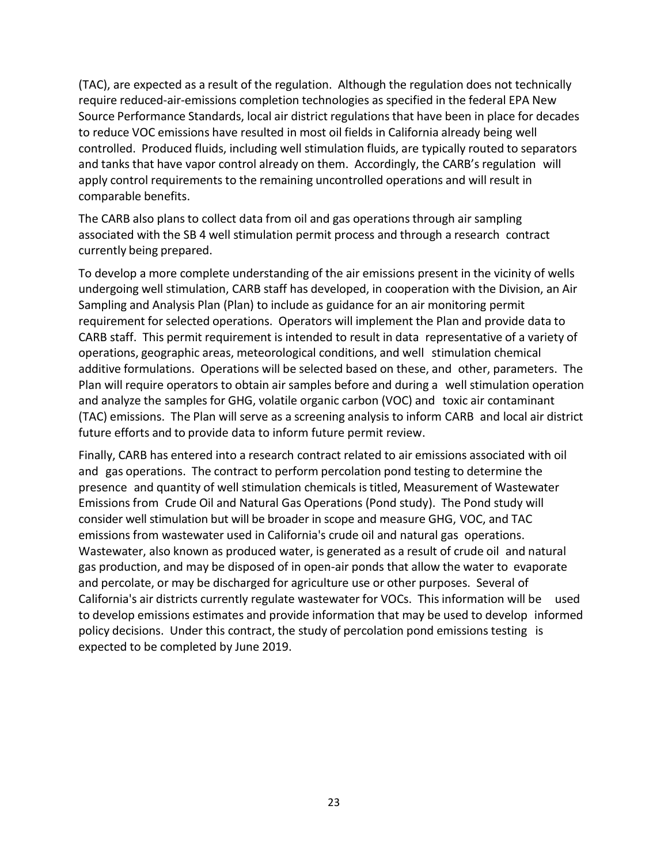(TAC), are expected as a result of the regulation. Although the regulation does not technically require reduced-air-emissions completion technologies as specified in the federal EPA New Source Performance Standards, local air district regulations that have been in place for decades to reduce VOC emissions have resulted in most oil fields in California already being well controlled. Produced fluids, including well stimulation fluids, are typically routed to separators and tanks that have vapor control already on them. Accordingly, the CARB's regulation will apply control requirements to the remaining uncontrolled operations and will result in comparable benefits.

The CARB also plans to collect data from oil and gas operations through air sampling associated with the SB 4 well stimulation permit process and through a research contract currently being prepared.

To develop a more complete understanding of the air emissions present in the vicinity of wells undergoing well stimulation, CARB staff has developed, in cooperation with the Division, an Air Sampling and Analysis Plan (Plan) to include as guidance for an air monitoring permit requirement for selected operations. Operators will implement the Plan and provide data to CARB staff. This permit requirement is intended to result in data representative of a variety of operations, geographic areas, meteorological conditions, and well stimulation chemical additive formulations. Operations will be selected based on these, and other, parameters. The Plan will require operators to obtain air samples before and during a well stimulation operation and analyze the samples for GHG, volatile organic carbon (VOC) and toxic air contaminant (TAC) emissions. The Plan will serve as a screening analysis to inform CARB and local air district future efforts and to provide data to inform future permit review.

Finally, CARB has entered into a research contract related to air emissions associated with oil and gas operations. The contract to perform percolation pond testing to determine the presence and quantity of well stimulation chemicals is titled, Measurement of Wastewater Emissions from Crude Oil and Natural Gas Operations (Pond study). The Pond study will consider well stimulation but will be broader in scope and measure GHG, VOC, and TAC emissions from wastewater used in California's crude oil and natural gas operations. Wastewater, also known as produced water, is generated as a result of crude oil and natural gas production, and may be disposed of in open-air ponds that allow the water to evaporate and percolate, or may be discharged for agriculture use or other purposes. Several of California's air districts currently regulate wastewater for VOCs. This information will be used to develop emissions estimates and provide information that may be used to develop informed policy decisions. Under this contract, the study of percolation pond emissions testing is expected to be completed by June 2019.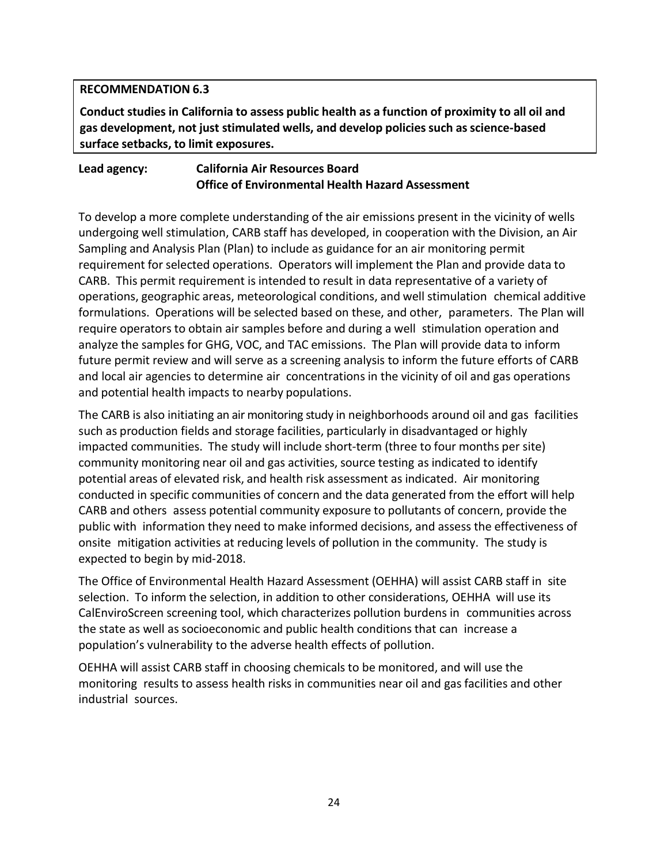## **RECOMMENDATION 6.3**

**Conduct studies in California to assess public health as a function of proximity to all oil and gas development, not just stimulated wells, and develop policies such as science-based surface setbacks, to limit exposures.**

#### **Lead agency: California Air Resources Board Office of Environmental Health Hazard Assessment**

To develop a more complete understanding of the air emissions present in the vicinity of wells undergoing well stimulation, CARB staff has developed, in cooperation with the Division, an Air Sampling and Analysis Plan (Plan) to include as guidance for an air monitoring permit requirement for selected operations. Operators will implement the Plan and provide data to CARB. This permit requirement is intended to result in data representative of a variety of operations, geographic areas, meteorological conditions, and well stimulation chemical additive formulations. Operations will be selected based on these, and other, parameters. The Plan will require operators to obtain air samples before and during a well stimulation operation and analyze the samples for GHG, VOC, and TAC emissions. The Plan will provide data to inform future permit review and will serve as a screening analysis to inform the future efforts of CARB and local air agencies to determine air concentrations in the vicinity of oil and gas operations and potential health impacts to nearby populations.

The CARB is also initiating an air monitoring study in neighborhoods around oil and gas facilities such as production fields and storage facilities, particularly in disadvantaged or highly impacted communities. The study will include short-term (three to four months per site) community monitoring near oil and gas activities, source testing as indicated to identify potential areas of elevated risk, and health risk assessment as indicated. Air monitoring conducted in specific communities of concern and the data generated from the effort will help CARB and others assess potential community exposure to pollutants of concern, provide the public with information they need to make informed decisions, and assess the effectiveness of onsite mitigation activities at reducing levels of pollution in the community. The study is expected to begin by mid-2018.

The Office of Environmental Health Hazard Assessment (OEHHA) will assist CARB staff in site selection. To inform the selection, in addition to other considerations, OEHHA will use its CalEnviroScreen screening tool, which characterizes pollution burdens in communities across the state as well as socioeconomic and public health conditions that can increase a population's vulnerability to the adverse health effects of pollution.

OEHHA will assist CARB staff in choosing chemicals to be monitored, and will use the monitoring results to assess health risks in communities near oil and gas facilities and other industrial sources.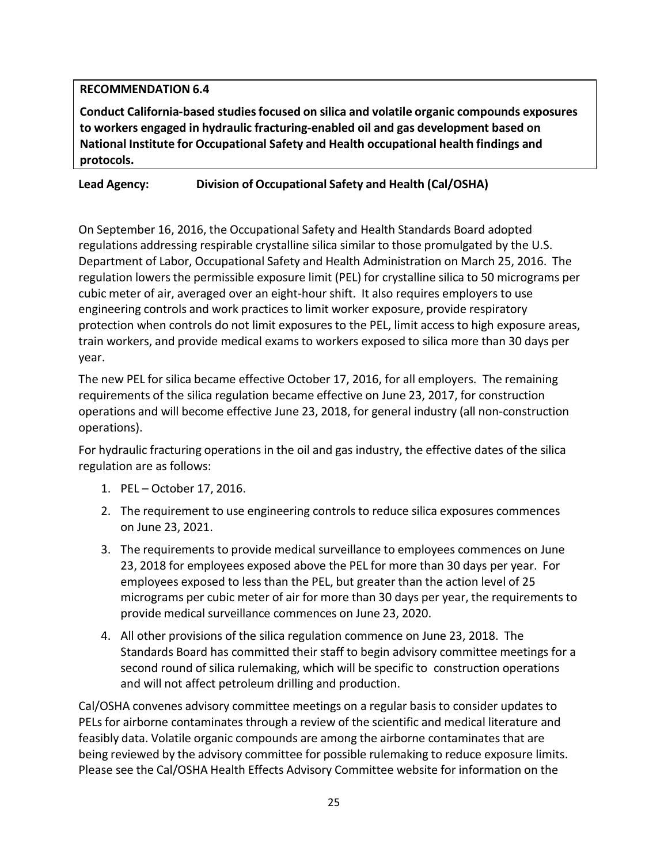## **RECOMMENDATION 6.4**

**Conduct California-based studies focused on silica and volatile organic compounds exposures to workers engaged in hydraulic fracturing-enabled oil and gas development based on National Institute for Occupational Safety and Health occupational health findings and protocols.**

# **Lead Agency: Division of Occupational Safety and Health (Cal/OSHA)**

On September 16, 2016, the Occupational Safety and Health Standards Board adopted regulations addressing respirable crystalline silica similar to those promulgated by the U.S. Department of Labor, Occupational Safety and Health Administration on March 25, 2016. The regulation lowers the permissible exposure limit (PEL) for crystalline silica to 50 micrograms per cubic meter of air, averaged over an eight-hour shift. It also requires employers to use engineering controls and work practices to limit worker exposure, provide respiratory protection when controls do not limit exposures to the PEL, limit access to high exposure areas, train workers, and provide medical exams to workers exposed to silica more than 30 days per year.

The new PEL for silica became effective October 17, 2016, for all employers. The remaining requirements of the silica regulation became effective on June 23, 2017, for construction operations and will become effective June 23, 2018, for general industry (all non-construction operations).

For hydraulic fracturing operations in the oil and gas industry, the effective dates of the silica regulation are as follows:

- 1. PEL October 17, 2016.
- 2. The requirement to use engineering controls to reduce silica exposures commences on June 23, 2021.
- 3. The requirements to provide medical surveillance to employees commences on June 23, 2018 for employees exposed above the PEL for more than 30 days per year. For employees exposed to less than the PEL, but greater than the action level of 25 micrograms per cubic meter of air for more than 30 days per year, the requirements to provide medical surveillance commences on June 23, 2020.
- 4. All other provisions of the silica regulation commence on June 23, 2018. The Standards Board has committed their staff to begin advisory committee meetings for a second round of silica rulemaking, which will be specific to construction operations and will not affect petroleum drilling and production.

Cal/OSHA convenes advisory committee meetings on a regular basis to consider updates to PELs for airborne contaminates through a review of the scientific and medical literature and feasibly data. Volatile organic compounds are among the airborne contaminates that are being reviewed by the advisory committee for possible rulemaking to reduce exposure limits. Please see the Cal/OSHA Health Effects Advisory Committee website for information on the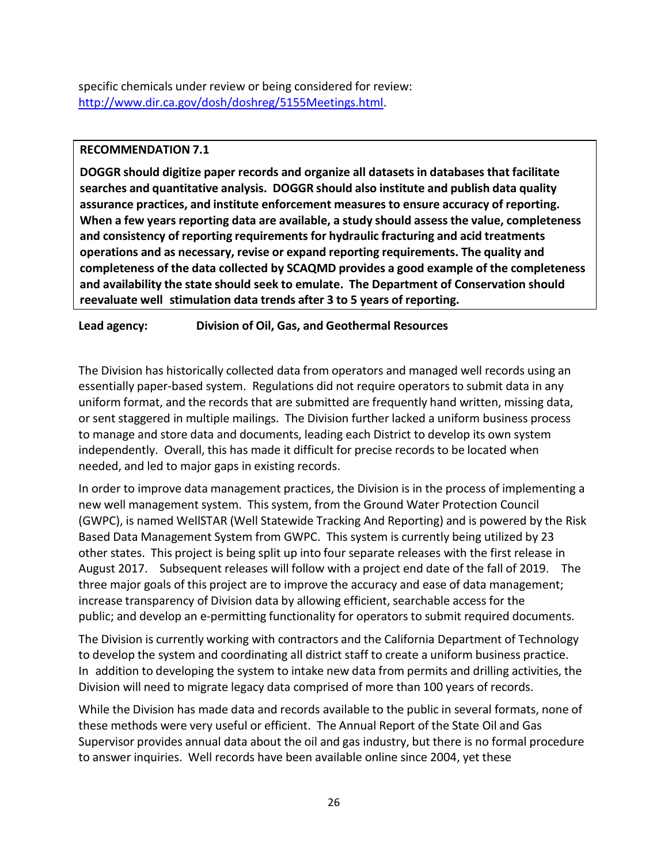specific chemicals under review or being considered for review: [http://www.dir.ca.gov/dosh/doshreg/5155Meetings.html.](http://www.dir.ca.gov/dosh/doshreg/5155Meetings.html)

#### **RECOMMENDATION 7.1**

**DOGGR should digitize paper records and organize all datasets in databases that facilitate searches and quantitative analysis. DOGGR should also institute and publish data quality assurance practices, and institute enforcement measures to ensure accuracy of reporting. When a few years reporting data are available, a study should assess the value, completeness and consistency of reporting requirements for hydraulic fracturing and acid treatments operations and as necessary, revise or expand reporting requirements. The quality and completeness of the data collected by SCAQMD provides a good example of the completeness and availability the state should seek to emulate. The Department of Conservation should reevaluate well stimulation data trends after 3 to 5 years of reporting.**

**Lead agency: Division of Oil, Gas, and Geothermal Resources**

The Division has historically collected data from operators and managed well records using an essentially paper-based system. Regulations did not require operators to submit data in any uniform format, and the records that are submitted are frequently hand written, missing data, or sent staggered in multiple mailings. The Division further lacked a uniform business process to manage and store data and documents, leading each District to develop its own system independently. Overall, this has made it difficult for precise records to be located when needed, and led to major gaps in existing records.

In order to improve data management practices, the Division is in the process of implementing a new well management system. This system, from the Ground Water Protection Council (GWPC), is named WellSTAR (Well Statewide Tracking And Reporting) and is powered by the Risk Based Data Management System from GWPC. This system is currently being utilized by 23 other states. This project is being split up into four separate releases with the first release in August 2017. Subsequent releases will follow with a project end date of the fall of 2019. The three major goals of this project are to improve the accuracy and ease of data management; increase transparency of Division data by allowing efficient, searchable access for the public; and develop an e-permitting functionality for operators to submit required documents.

The Division is currently working with contractors and the California Department of Technology to develop the system and coordinating all district staff to create a uniform business practice. In addition to developing the system to intake new data from permits and drilling activities, the Division will need to migrate legacy data comprised of more than 100 years of records.

While the Division has made data and records available to the public in several formats, none of these methods were very useful or efficient. The Annual Report of the State Oil and Gas Supervisor provides annual data about the oil and gas industry, but there is no formal procedure to answer inquiries. Well records have been available online since 2004, yet these